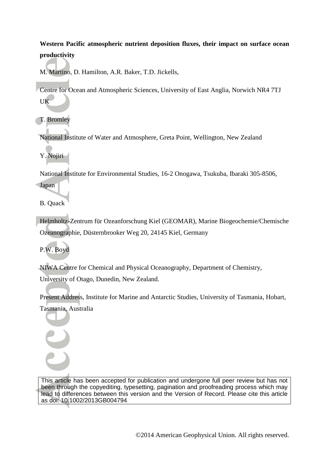### **Western Pacific atmospheric nutrient deposition fluxes, their impact on surface ocean productivity**

M. Martino, D. Hamilton, A.R. Baker, T.D. Jickells,

Centre for Ocean and Atmospheric Sciences, University of East Anglia, Norwich NR4 7TJ UK

T. Bromley

National Institute of Water and Atmosphere, Greta Point, Wellington, New Zealand

Y. Nojiri

National Institute for Environmental Studies, 16-2 Onogawa, Tsukuba, Ibaraki 305-8506,

Japan

B. Quack

Helmholtz-Zentrum für Ozeanforschung Kiel (GEOMAR), Marine Biogeochemie/Chemische Ozeanographie, Düsternbrooker Weg 20, 24145 Kiel, Germany

P.W. Boyd

NIWA Centre for Chemical and Physical Oceanography, Department of Chemistry,

University of Otago, Dunedin, New Zealand.

Present Address, Institute for Marine and Antarctic Studies, University of Tasmania, Hobart, Tasmania, Australia

This article has been accepted for publication and undergone full peer review but has not been through the copyediting, typesetting, pagination and proofreading process which may lead to differences between this version and the Version of Record. Please cite this article as doi: 10.1002/2013GB004794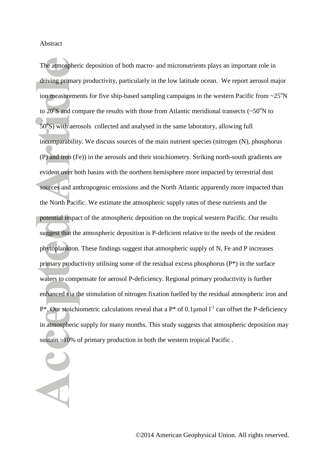#### Abstract

The atmospheric deposition of both macro- and micronutrients plays an important role in driving primary productivity, particularly in the low latitude ocean. We report aerosol major ion measurements for five ship-based sampling campaigns in the western Pacific from  $\sim$ 25 $\rm o$ N to  $20^{\circ}$ S and compare the results with those from Atlantic meridional transects ( $\sim$ 50 $^{\circ}$ N to 50°S) with aerosols collected and analysed in the same laboratory, allowing full incomparability. We discuss sources of the main nutrient species (nitrogen (N), phosphorus (P) and iron (Fe)) in the aerosols and their stoichiometry. Striking north-south gradients are evident over both basins with the northern hemisphere more impacted by terrestrial dust sources and anthropogenic emissions and the North Atlantic apparently more impacted than the North Pacific. We estimate the atmospheric supply rates of these nutrients and the potential impact of the atmospheric deposition on the tropical western Pacific. Our results suggest that the atmospheric deposition is P-deficient relative to the needs of the resident phytoplankton. These findings suggest that atmospheric supply of N, Fe and P increases primary productivity utilising some of the residual excess phosphorus (P\*) in the surface waters to compensate for aerosol P-deficiency. Regional primary productivity is further enhanced via the stimulation of nitrogen fixation fuelled by the residual atmospheric iron and  $P^*$ . Our stoichiometric calculations reveal that a  $P^*$  of 0.1µmol  $I^1$  can offset the P-deficiency in atmospheric supply for many months. This study suggests that atmospheric deposition may sustain ~10% of primary production in both the western tropical Pacific .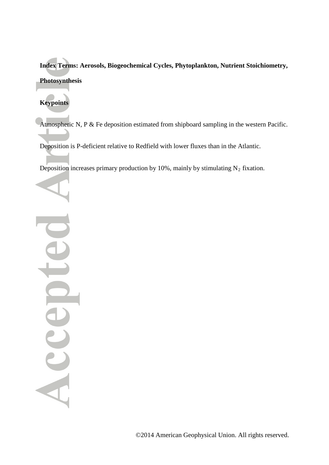**Index Terms: Aerosols, Biogeochemical Cycles, Phytoplankton, Nutrient Stoichiometry, Photosynthesis**

## **Keypoints**

Atmospheric N, P & Fe deposition estimated from shipboard sampling in the western Pacific.

Deposition is P-deficient relative to Redfield with lower fluxes than in the Atlantic.

Deposition increases primary production by 10%, mainly by stimulating  $N_2$  fixation.

Ue dood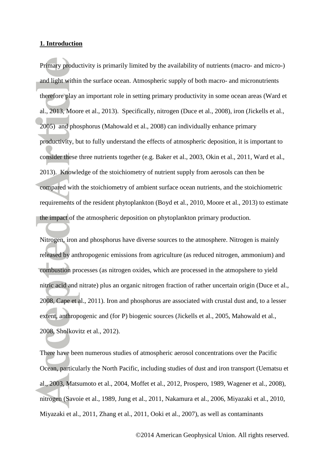#### **1. Introduction**

Primary productivity is primarily limited by the availability of nutrients (macro- and micro-) and light within the surface ocean. Atmospheric supply of both macro- and micronutrients therefore play an important role in setting primary productivity in some ocean areas [\(Ward et](#page-36-0)  [al., 2013,](#page-36-0) [Moore et al., 2013\)](#page-33-0). Specifically, nitrogen [\(Duce et al., 2008\)](#page-30-0), iron [\(Jickells et al.,](#page-31-0)  [2005\)](#page-31-0) and phosphorus [\(Mahowald et al., 2008\)](#page-32-0) can individually enhance primary productivity, but to fully understand the effects of atmospheric deposition, it is important to consider these three nutrients together (e.g. [Baker et al., 2003,](#page-28-0) [Okin et al., 2011,](#page-34-0) [Ward et al.,](#page-36-0)  [2013\)](#page-36-0). Knowledge of the stoichiometry of nutrient supply from aerosols can then be compared with the stoichiometry of ambient surface ocean nutrients, and the stoichiometric requirements of the resident phytoplankton [\(Boyd et al., 2010,](#page-29-0) [Moore et al., 2013\)](#page-33-0) to estimate the impact of the atmospheric deposition on phytoplankton primary production.

Nitrogen, iron and phosphorus have diverse sources to the atmosphere. Nitrogen is mainly released by anthropogenic emissions from agriculture (as reduced nitrogen, ammonium) and combustion processes (as nitrogen oxides, which are processed in the atmopshere to yield nitric acid and nitrate) plus an organic nitrogen fraction of rather uncertain origin [\(Duce et al.,](#page-30-0)  [2008,](#page-30-0) [Cape et al., 2011\)](#page-29-1). Iron and phosphorus are associated with crustal dust and, to a lesser extent, anthropogenic and (for P) biogenic sources [\(Jickells et al., 2005,](#page-31-0) [Mahowald et al.,](#page-32-0)  [2008,](#page-32-0) [Sholkovitz et al., 2012\)](#page-35-0).

There have been numerous studies of atmospheric aerosol concentrations over the Pacific Ocean, particularly the North Pacific, including studies of dust and iron transport [\(Uematsu et](#page-36-1)  [al., 2003,](#page-36-1) [Matsumoto et al., 2004,](#page-32-1) [Moffet et al., 2012,](#page-33-1) [Prospero, 1989,](#page-35-1) [Wagener et al., 2008\)](#page-36-2), nitrogen [\(Savoie et al., 1989,](#page-35-2) [Jung et al., 2011,](#page-31-1) [Nakamura et al., 2006,](#page-34-1) [Miyazaki et al., 2010,](#page-33-2) [Miyazaki et al., 2011,](#page-33-3) [Zhang et al., 2011,](#page-37-0) [Ooki et al., 2007\)](#page-34-2), as well as contaminants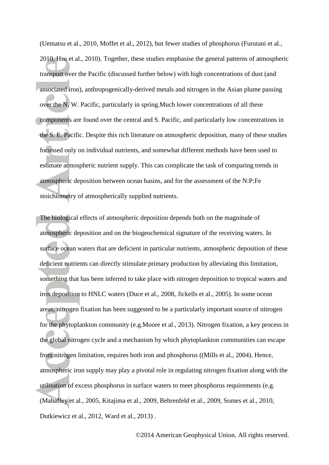[\(Uematsu et al., 2010,](#page-36-3) [Moffet et al., 2012\)](#page-33-1), but fewer studies of phosphorus [\(Furutani et al.,](#page-30-1)  [2010,](#page-30-1) [Hsu et al., 2010\)](#page-31-2). Together, these studies emphasise the general patterns of atmospheric transport over the Pacific (discussed further below) with high concentrations of dust (and associated iron), anthropogenically-derived metals and nitrogen in the Asian plume passing over the N. W. Pacific, particularly in spring.Much lower concentrations of all these components are found over the central and S. Pacific, and particularly low concentrations in the S. E. Pacific. Despite this rich literature on atmospheric deposition, many of these studies focussed only on individual nutrients, and somewhat different methods have been used to estimate atmospheric nutrient supply. This can complicate the task of comparing trends in atmospheric deposition between ocean basins, and for the assessment of the N:P:Fe stoichiometry of atmospherically supplied nutrients.

The biological effects of atmospheric deposition depends both on the magnitude of atmospheric deposition and on the biogeochemical signature of the receiving waters. In surface ocean waters that are deficient in particular nutrients, atmospheric deposition of these deficient nutrients can directly stimulate primary production by alleviating this limitation, something that has been inferred to take place with nitrogen deposition to tropical waters and iron deposition to HNLC waters [\(Duce et al., 2008,](#page-30-0) [Jickells et al., 2005\)](#page-31-0). In some ocean areas, nitrogen fixation has been suggested to be a particularly important source of nitrogen for the phytoplankton community [\(e.g.Moore et al., 2013\)](#page-33-0). Nitrogen fixation, a key process in the global nitrogen cycle and a mechanism by which phytoplankton communities can escape from nitrogen limitation, requires both iron and phosphorus ([\(Mills et al., 2004\)](#page-33-4). Hence, atmospheric iron supply may play a pivotal role in regulating nitrogen fixation along with the utilisation of excess phosphorus in surface waters to meet phosphorus requirements (e.g. [\(Mahaffey et al., 2005,](#page-32-2) [Kitajima et al., 2009,](#page-31-3) [Behrenfeld et al., 2009,](#page-29-2) [Somes et al., 2010,](#page-35-3) [Dutkiewicz et al., 2012,](#page-30-2) [Ward et al., 2013\)](#page-36-0) .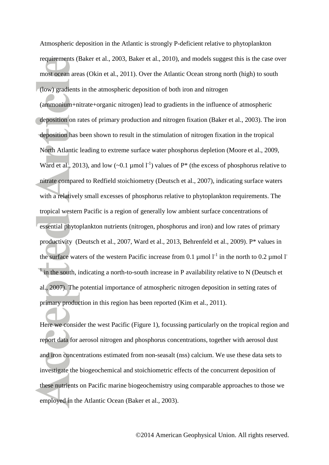Atmospheric deposition in the Atlantic is strongly P-deficient relative to phytoplankton requirements [\(Baker et al., 2003,](#page-28-0) [Baker et al., 2010\)](#page-29-3), and models suggest this is the case over most ocean areas [\(Okin et al., 2011\)](#page-34-0). Over the Atlantic Ocean strong north (high) to south (low) gradients in the atmospheric deposition of both iron and nitrogen

(ammonium+nitrate+organic nitrogen) lead to gradients in the influence of atmospheric deposition on rates of primary production and nitrogen fixation [\(Baker et al., 2003\)](#page-28-0). The iron deposition has been shown to result in the stimulation of nitrogen fixation in the tropical North Atlantic leading to extreme surface water phosphorus depletion [\(Moore et al., 2009,](#page-33-5) [Ward et al., 2013\)](#page-36-0), and low (~0.1 µmol  $I^{-1}$ ) values of P\* (the excess of phosphorus relative to nitrate compared to Redfield stoichiometry ([Deutsch et al., 2007](#page-30-3)), indicating surface waters with a relatively small excesses of phosphorus relative to phytoplankton requirements. The tropical western Pacific is a region of generally low ambient surface concentrations of essential phytoplankton nutrients (nitrogen, phosphorus and iron) and low rates of primary productivity [\(Deutsch et al., 2007,](#page-30-3) [Ward et al., 2013,](#page-36-0) [Behrenfeld et al., 2009\)](#page-29-2). P\* values in the surface waters of the western Pacific increase from 0.1  $\mu$  mol  $I^1$  in the north to 0.2  $\mu$ mol  $I$  $\frac{1}{2}$  in the south, indicating a north-to-south increase in P availability relative to N (Deutsch et [al., 2007](#page-30-3) ). The potential importance of atmospheric nitrogen deposition in setting rates of primary production in this region has been reported [\(Kim et al., 2011\)](#page-31-4).

Here we consider the west Pacific (Figure 1), focussing particularly on the tropical region and report data for aerosol nitrogen and phosphorus concentrations, together with aerosol dust and iron concentrations estimated from non-seasalt (nss) calcium. We use these data sets to investigate the biogeochemical and stoichiometric effects of the concurrent deposition of these nutrients on Pacific marine biogeochemistry using comparable approaches to those we employed in the Atlantic Ocean [\(Baker et al., 2003\)](#page-28-0).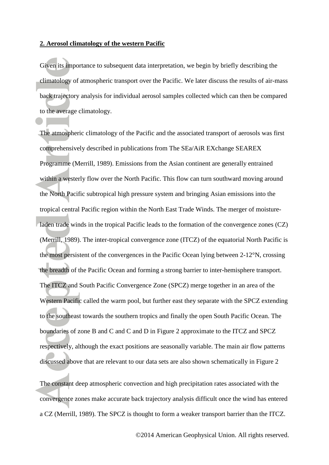#### **2. Aerosol climatology of the western Pacific**

Given its importance to subsequent data interpretation, we begin by briefly describing the climatology of atmospheric transport over the Pacific. We later discuss the results of air-mass back trajectory analysis for individual aerosol samples collected which can then be compared to the average climatology.

The atmospheric climatology of the Pacific and the associated transport of aerosols was first comprehensively described in publications from The SEa/AiR EXchange SEAREX Programme [\(Merrill, 1989\)](#page-33-6). Emissions from the Asian continent are generally entrained within a westerly flow over the North Pacific. This flow can turn southward moving around the North Pacific subtropical high pressure system and bringing Asian emissions into the tropical central Pacific region within the North East Trade Winds. The merger of moistureladen trade winds in the tropical Pacific leads to the formation of the convergence zones (CZ) [\(Merrill, 1989\)](#page-33-6). The inter-tropical convergence zone (ITCZ) of the equatorial North Pacific is the most persistent of the convergences in the Pacific Ocean lying between 2-12°N, crossing the breadth of the Pacific Ocean and forming a strong barrier to inter-hemisphere transport. The ITCZ and South Pacific Convergence Zone (SPCZ) merge together in an area of the Western Pacific called the warm pool, but further east they separate with the SPCZ extending to the southeast towards the southern tropics and finally the open South Pacific Ocean. The boundaries of zone B and C and C and D in Figure 2 approximate to the ITCZ and SPCZ respectively, although the exact positions are seasonally variable. The main air flow patterns discussed above that are relevant to our data sets are also shown schematically in Figure 2

The constant deep atmospheric convection and high precipitation rates associated with the convergence zones make accurate back trajectory analysis difficult once the wind has entered a CZ [\(Merrill, 1989\)](#page-33-6). The SPCZ is thought to form a weaker transport barrier than the ITCZ.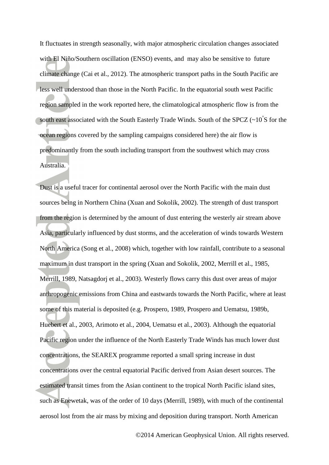It fluctuates in strength seasonally, with major atmospheric circulation changes associated with El Niño/Southern oscillation (ENSO) events, and may also be sensitive to future climate change [\(Cai et al., 2012\)](#page-29-4). The atmospheric transport paths in the South Pacific are less well understood than those in the North Pacific. In the equatorial south west Pacific region sampled in the work reported here, the climatological atmospheric flow is from the south east associated with the South Easterly Trade Winds. South of the SPCZ  $(-10^{\circ}S)$  for the ocean regions covered by the sampling campaigns considered here) the air flow is predominantly from the south including transport from the southwest which may cross Australia.

Dust is a useful tracer for continental aerosol over the North Pacific with the main dust sources being in Northern China ( [Xuan and Sokolik, 2002\)](#page-36-4). The strength of dust transport from the region is determined by the amount of dust entering the westerly air stream above Asia, particularly influenced by dust storms, and the acceleration of winds towards Western North America [\(Song et al., 2008\)](#page-35-4) which, together with low rainfall, contribute to a seasonal maximum in dust transport in the spring [\(Xuan and Sokolik, 2002,](#page-36-4) [Merrill et al., 1985,](#page-33-7) [Merrill, 1989,](#page-33-6) [Natsagdorj et al., 2003\)](#page-34-3). Westerly flows carry this dust over areas of major anthropogenic emissions from China and eastwards towards the North Pacific, where at least some of this material is deposited (e.g. [Prospero, 1989,](#page-35-1) [Prospero and Uematsu, 1989b,](#page-34-4) [Huebert et al., 2003,](#page-31-5) [Arimoto et al., 2004,](#page-28-1) [Uematsu et al., 2003\)](#page-36-1). Although the equatorial Pacific region under the influence of the North Easterly Trade Winds has much lower dust concentrations, the SEAREX programme reported a small spring increase in dust concentrations over the central equatorial Pacific derived from Asian desert sources. The estimated transit times from the Asian continent to the tropical North Pacific island sites, such as Enewetak, was of the order of 10 days [\(Merrill, 1989\)](#page-33-6), with much of the continental aerosol lost from the air mass by mixing and deposition during transport. North American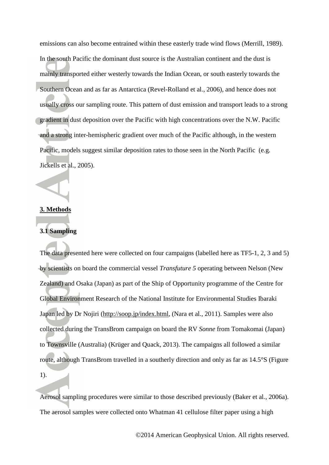emissions can also become entrained within these easterly trade wind flows [\(Merrill, 1989\)](#page-33-6). In the south Pacific the dominant dust source is the Australian continent and the dust is mainly transported either westerly towards the Indian Ocean, or south easterly towards the Southern Ocean and as far as Antarctica [\(Revel-Rolland et al., 2006\)](#page-35-5), and hence does not usually cross our sampling route. This pattern of dust emission and transport leads to a strong gradient in dust deposition over the Pacific with high concentrations over the N.W. Pacific and a strong inter-hemispheric gradient over much of the Pacific although, in the western Pacific, models suggest similar deposition rates to those seen in the North Pacific (e.g. [Jickells et al., 2005\)](#page-31-0).

#### **3. Methods**

#### **3.1 Sampling**

The data presented here were collected on four campaigns (labelled here as TF5-1, 2, 3 and 5) by scientists on board the commercial vessel *Transfuture 5* operating between Nelson (New Zealand) and Osaka (Japan) as part of the Ship of Opportunity programme of the Centre for Global Environment Research of the National Institute for Environmental Studies Ibaraki Japan led by Dr Nojiri (http://soop.jp/index.html, [\(Nara et al., 2011\)](#page-34-5). Samples were also collected during the TransBrom campaign on board the RV *Sonne* from Tomakomai (Japan) to Townsville (Australia) [\(Krüger and Quack, 2013\)](#page-32-3). The campaigns all followed a similar route, although TransBrom travelled in a southerly direction and only as far as 14.5°S (Figure

1).

Aerosol sampling procedures were similar to those described previously [\(Baker et al., 2006a\)](#page-28-2). The aerosol samples were collected onto Whatman 41 cellulose filter paper using a high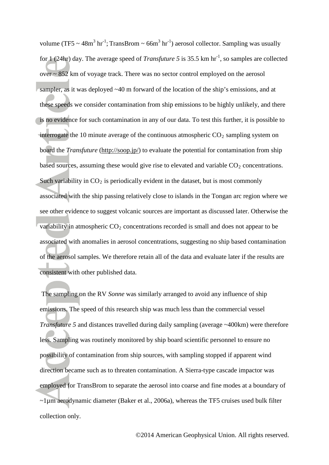volume (TF5  $\sim$  48m<sup>3</sup> hr<sup>-1</sup>; TransBrom  $\sim$  66m<sup>3</sup> hr<sup>-1</sup>) aerosol collector. Sampling was usually for 1 (24hr) day. The average speed of *Transfuture 5* is 35.5 km hr<sup>-1</sup>, so samples are collected over ~ 852 km of voyage track. There was no sector control employed on the aerosol sampler, as it was deployed ~40 m forward of the location of the ship's emissions, and at these speeds we consider contamination from ship emissions to be highly unlikely, and there is no evidence for such contamination in any of our data. To test this further, it is possible to interrogate the 10 minute average of the continuous atmospheric  $CO<sub>2</sub>$  sampling system on board the *Transfuture* (http://soop.jp/) to evaluate the potential for contamination from ship based sources, assuming these would give rise to elevated and variable  $CO<sub>2</sub>$  concentrations. Such variability in  $CO<sub>2</sub>$  is periodically evident in the dataset, but is most commonly associated with the ship passing relatively close to islands in the Tongan arc region where we see other evidence to suggest volcanic sources are important as discussed later. Otherwise the variability in atmospheric  $CO_2$  concentrations recorded is small and does not appear to be associated with anomalies in aerosol concentrations, suggesting no ship based contamination of the aerosol samples. We therefore retain all of the data and evaluate later if the results are consistent with other published data.

 The sampling on the RV *Sonne* was similarly arranged to avoid any influence of ship emissions. The speed of this research ship was much less than the commercial vessel *Transfuture 5* and distances travelled during daily sampling (average ~400km) were therefore less. Sampling was routinely monitored by ship board scientific personnel to ensure no possibility of contamination from ship sources, with sampling stopped if apparent wind direction became such as to threaten contamination. A Sierra-type cascade impactor was employed for TransBrom to separate the aerosol into coarse and fine modes at a boundary of ~1µm aerodynamic diameter ( [Baker et al., 2006a\)](#page-28-2), whereas the TF5 cruises used bulk filter collection only.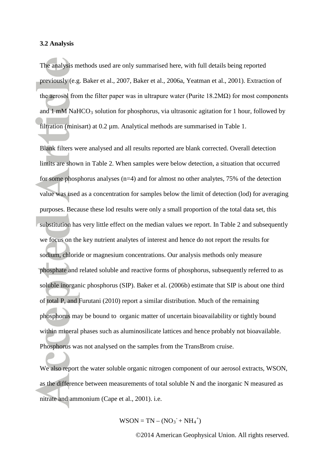#### **3.2 Analysis**

The analysis methods used are only summarised here, with full details being reported previously (e.g. [Baker et al., 2007,](#page-29-5) [Baker et al., 2006a,](#page-28-2) [Yeatman et al., 2001\)](#page-36-5). Extraction of the aerosol from the filter paper was in ultrapure water (Purite  $18.2M\Omega$ ) for most components and 1 mM NaHCO<sub>3</sub> solution for phosphorus, via ultrasonic agitation for 1 hour, followed by filtration (minisart) at  $0.2 \mu$ m. Analytical methods are summarised in Table 1.

Blank filters were analysed and all results reported are blank corrected. Overall detection limits are shown in Table 2. When samples were below detection, a situation that occurred for some phosphorus analyses  $(n=4)$  and for almost no other analytes, 75% of the detection value was used as a concentration for samples below the limit of detection (lod) for averaging purposes. Because these lod results were only a small proportion of the total data set, this substitution has very little effect on the median values we report. In Table 2 and subsequently we focus on the key nutrient analytes of interest and hence do not report the results for sodium, chloride or magnesium concentrations. Our analysis methods only measure phosphate and related soluble and reactive forms of phosphorus, subsequently referred to as soluble inorganic phosphorus (SIP). Baker et al. (2006b) estimate that SIP is about one third of total P, and Furutani ( [2010\)](#page-30-1) report a similar distribution. Much of the remaining phosphorus may be bound to organic matter of uncertain bioavailability or tightly bound within mineral phases such as aluminosilicate lattices and hence probably not bioavailable. Phosphorus was not analysed on the samples from the TransBrom cruise.

We also report the water soluble organic nitrogen component of our aerosol extracts, WSON, as the difference between measurements of total soluble N and the inorganic N measured as nitrate and ammonium [\(Cape et al., 2001\)](#page-29-6). i.e.

 $WSON = TN - (NO<sub>3</sub><sup>-</sup> + NH<sub>4</sub><sup>+</sup>)$ 

©2014 American Geophysical Union. All rights reserved.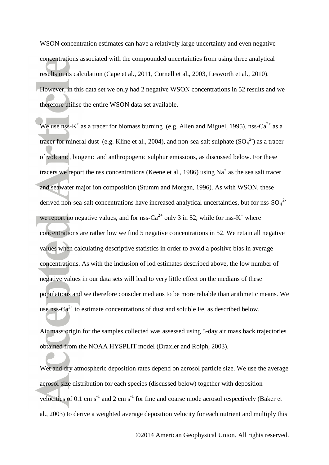WSON concentration estimates can have a relatively large uncertainty and even negative concentrations associated with the compounded uncertainties from using three analytical results in its calculation [\(Cape et al., 2011,](#page-29-1) [Cornell et al., 2003,](#page-30-4) [Lesworth et al., 2010\)](#page-32-4). However, in this data set we only had 2 negative WSON concentrations in 52 results and we therefore utilise the entire WSON data set available.

We use nss-K<sup>+</sup> as a tracer for biomass burning [\(e.g. Allen and Miguel, 1995\)](#page-28-3), nss-Ca<sup>2+</sup> as a tracer for mineral dust ([e.g. Kline et al., 2004](#page-32-5)), and non-sea-salt sulphate  $(SO<sub>4</sub><sup>2</sup>)$  as a tracer tracers we report the nss concentrations ([Keene et al., 1986](#page-31-6)) using Na<sup>+</sup> as the sea salt tracer of volcanic, biogenic and anthropogenic sulphur emissions, as discussed below. For these and seawater major ion composition ([Stumm and Morgan, 1996](#page-35-6)). As with WSON, these derived non-sea-salt concentrations have increased analytical uncertainties, but for nss-SO<sub>4</sub><sup>2</sup> we report no negative values, and for nss- $Ca^{2+}$  only 3 in 52, while for nss- $K^+$  where concentrations are rather low we find 5 negative concentrations in 52. We retain all negative values when calculating descriptive statistics in order to avoid a positive bias in average concentrations. As with the inclusion of lod estimates described above, the low number of negative values in our data sets will lead to very little effect on the medians of these populations and we therefore consider medians to be more reliable than arithmetic means. We use nss-Ca<sup>2+</sup> to estimate concentrations of dust and soluble Fe, as described below.

Air mass origin for the samples collected was assessed using 5-day air mass back trajectories obtained from the NOAA HYSPLIT model ( [Draxler and Rolph, 2003\)](#page-30-5).

Wet and dry atmospheric deposition rates depend on aerosol particle size. We use the average aerosol size distribution for each species (discussed below) together with deposition velocities of 0.1 cm  $s^{-1}$  and 2 cm  $s^{-1}$  for fine and coarse mode aerosol respectively (Baker et [al., 2003](#page-28-0) ) to derive a weighted average deposition velocity for each nutrient and multiply this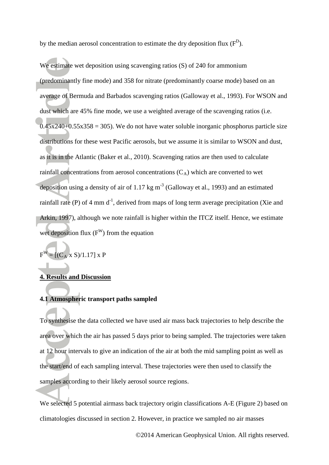by the median aerosol concentration to estimate the dry deposition flux  $(F^D)$ .

We estimate wet deposition using scavenging ratios (S) of 240 for ammonium (predominantly fine mode) and 358 for nitrate (predominantly coarse mode) based on an average of Bermuda and Barbados scavenging ratios ( [Galloway et al., 1993\)](#page-30-6). For WSON and dust which are 45% fine mode, we use a weighted average of the scavenging ratios (i.e.  $0.45x240+0.55x358 = 305$ . We do not have water soluble inorganic phosphorus particle size distributions for these west Pacific aerosols, but we assume it is similar to WSON and dust, as it is in the Atlantic [\(Baker et al., 2010\)](#page-29-3). Scavenging ratios are then used to calculate rainfall concentrations from aerosol concentrations  $(C_A)$  which are converted to wet deposition using a density of air of 1.17 kg  $m^{-3}$  [\(Galloway et al., 1993\)](#page-30-6) and an estimated rainfall rate (P) of 4 mm  $d^{-1}$ , derived from maps of long term average precipitation (Xie and [Arkin, 1997](#page-36-6) ), although we note rainfall is higher within the ITCZ itself. Hence, we estimate wet deposition flux  $(F^W)$  from the equation

$$
F^W = [(C_A \times S)/1.17] \times P
$$

#### **4. Results and Discussion**

#### **4.1 Atmospheric transport paths sampled**

To synthesise the data collected we have used air mass back trajectories to help describe the area over which the air has passed 5 days prior to being sampled. The trajectories were taken at 12 hour intervals to give an indication of the air at both the mid sampling point as well as the start/end of each sampling interval. These trajectories were then used to classify the samples according to their likely aerosol source regions.

We selected 5 potential airmass back trajectory origin classifications A-E (Figure 2) based on climatologies discussed in section 2. However, in practice we sampled no air masses

©2014 American Geophysical Union. All rights reserved.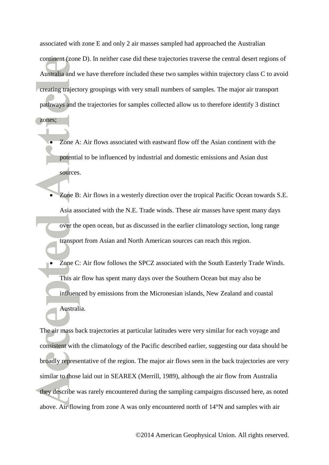associated with zone E and only 2 air masses sampled had approached the Australian continent (zone D). In neither case did these trajectories traverse the central desert regions of Australia and we have therefore included these two samples within trajectory class C to avoid creating trajectory groupings with very small numbers of samples. The major air transport pathways and the trajectories for samples collected allow us to therefore identify 3 distinct

zones;

- Zone A: Air flows associated with eastward flow off the Asian continent with the potential to be influenced by industrial and domestic emissions and Asian dust sources.
- Zone B: Air flows in a westerly direction over the tropical Pacific Ocean towards S.E. Asia associated with the N.E. Trade winds. These air masses have spent many days over the open ocean, but as discussed in the earlier climatology section, long range transport from Asian and North American sources can reach this region.
- Zone C: Air flow follows the SPCZ associated with the South Easterly Trade Winds. This air flow has spent many days over the Southern Ocean but may also be influenced by emissions from the Micronesian islands, New Zealand and coastal Australia.

The air mass back trajectories at particular latitudes were very similar for each voyage and consistent with the climatology of the Pacific described earlier, suggesting our data should be broadly representative of the region. The major air flows seen in the back trajectories are very similar to those laid out in SEAREX [\(Merrill, 1989\)](#page-33-6), although the air flow from Australia they describe was rarely encountered during the sampling campaigns discussed here, as noted above. Air flowing from zone A was only encountered north of 14°N and samples with air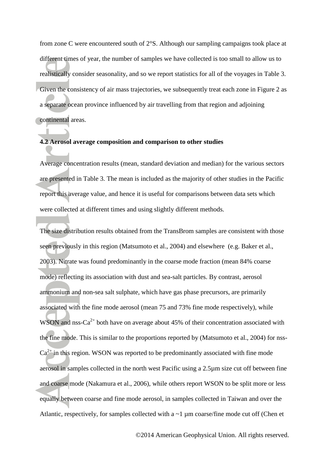from zone C were encountered south of 2°S. Although our sampling campaigns took place at different times of year, the number of samples we have collected is too small to allow us to realistically consider seasonality, and so we report statistics for all of the voyages in Table 3. Given the consistency of air mass trajectories, we subsequently treat each zone in Figure 2 as a separate ocean province influenced by air travelling from that region and adjoining continental areas.

#### **4.2 Aerosol average composition and comparison to other studies**

Average concentration results (mean, standard deviation and median) for the various sectors are presented in Table 3. The mean is included as the majority of other studies in the Pacific report this average value, and hence it is useful for comparisons between data sets which were collected at different times and using slightly different methods.

The size distribution results obtained from the TransBrom samples are consistent with those seen previously in this region [\(Matsumoto et al., 2004\)](#page-32-1) and elsewhere [\(e.g. Baker et al.,](#page-28-0)  [2003\)](#page-28-0). Nitrate was found predominantly in the coarse mode fraction (mean 84% coarse mode) reflecting its association with dust and sea-salt particles. By contrast, aerosol ammonium and non-sea salt sulphate, which have gas phase precursors, are primarily associated with the fine mode aerosol (mean 75 and 73% fine mode respectively), while WSON and nss-Ca<sup>2+</sup> both have on average about 45% of their concentration associated with the fine mode. This is similar to the proportions reported by ([Matsumoto et al., 2004](#page-32-1)) for nss- $Ca<sup>2+</sup>$  in this region. WSON was reported to be predominantly associated with fine mode and coarse mode ([Nakamura et al., 2006](#page-34-1)), while others report WSON to be split more or less aerosol in samples collected in the north west Pacific using a 2.5µm size cut off between fine equally between coarse and fine mode aerosol, in samples collected in Taiwan and over the Atlantic, respectively, for samples collected with a ~1 µm coarse/fine mode cut off (Chen et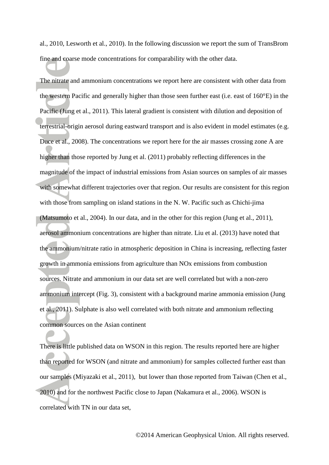al., 2010, [Lesworth et al., 2010\)](#page-32-4). In the following discussion we report the sum of TransBrom fine and coarse mode concentrations for comparability with the other data.

The nitrate and ammonium concentrations we report here are consistent with other data from the western Pacific and generally higher than those seen further east (i.e. east of 160°E) in the Pacific [\(Jung et al., 2011\)](#page-31-1). This lateral gradient is consistent with dilution and deposition of terrestrial-origin aerosol during eastward transport and is also evident in model estimates [\(e.g.](#page-30-0)  [Duce et al., 2008\)](#page-30-0). The concentrations we report here for the air masses crossing zone A are higher than those reported by Jung et al. [\(2011\)](#page-31-1) probably reflecting differences in the magnitude of the impact of industrial emissions from Asian sources on samples of air masses with somewhat different trajectories over that region. Our results are consistent for this region with those from sampling on island stations in the N. W. Pacific such as Chichi-jima [\(Matsumoto et al., 2004\)](#page-32-1). In our data, and in the other for this region [\(Jung et al., 2011\)](#page-31-1), aerosol ammonium concentrations are higher than nitrate. Liu et al. [\(2013\)](#page-32-6) have noted that the ammonium/nitrate ratio in atmospheric deposition in China is increasing, reflecting faster growth in ammonia emissions from agriculture than NOx emissions from combustion sources. Nitrate and ammonium in our data set are well correlated but with a non-zero ammonium intercept (Fig. 3), consistent with a background marine ammonia emission [\(Jung](#page-31-1)  [et al., 2011\)](#page-31-1). Sulphate is also well correlated with both nitrate and ammonium reflecting common sources on the Asian continent

There is little published data on WSON in this region. The results reported here are higher than reported for WSON (and nitrate and ammonium) for samples collected further east than our samples [\(Miyazaki et al., 2011\)](#page-33-3), but lower than those reported from Taiwan [\(Chen et al.,](#page-29-7)  [2010\)](#page-29-7) and for the northwest Pacific close to Japan [\(Nakamura et al., 2006\)](#page-34-1). WSON is correlated with TN in our data set,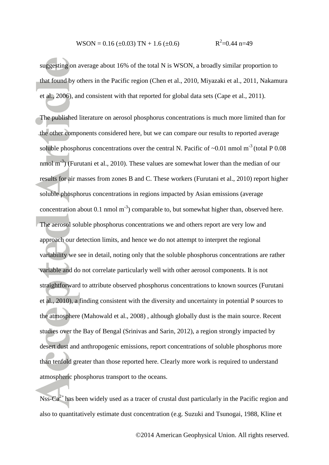WSON = 0.16 (
$$
\pm
$$
0.03) TN + 1.6 ( $\pm$ 0.6) R<sup>2</sup>=0.44 n=49

suggesting on average about 16% of the total N is WSON, a broadly similar proportion to that found by others in the Pacific region ( [Chen et al., 2010,](#page-29-7) [Miyazaki et al., 2011,](#page-33-3) [Nakamura](#page-34-1)  [et al., 2006\)](#page-34-1), and consistent with that reported for global data sets [\(Cape et al., 2011\)](#page-29-1).

The published literature on aerosol phosphorus concentrations is much more limited than for the other components considered here, but we can compare our results to reported average soluble phosphorus concentrations over the central N. Pacific of  $\sim 0.01$  nmol m<sup>-3</sup> (total P 0.08) nmol  $m^{-3}$ ) [\(Furutani et al., 2010\)](#page-30-1). These values are somewhat lower than the median of our results for air masses from zones B and C. These workers [\(Furutani et al., 2010\)](#page-30-1) report higher soluble phosphorus concentrations in regions impacted by Asian emissions (average concentration about 0.1 nmol  $m^{-3}$ ) comparable to, but somewhat higher than, observed here. straightforward to attribute observed phosphorus concentrations to known sources (Furutani [et al., 2010](#page-30-1) ), a finding consistent with the diversity and uncertainty in potential P sources to The aerosol soluble phosphorus concentrations we and others report are very low and approach our detection limits, and hence we do not attempt to interpret the regional variability we see in detail, noting only that the soluble phosphorus concentrations are rather variable and do not correlate particularly well with other aerosol components. It is not the atmosphere [\(Mahowald et al., 2008\)](#page-32-0) , although globally dust is the main source. Recent studies over the Bay of Bengal [\(Srinivas and Sarin, 2012\)](#page-35-7), a region strongly impacted by desert dust and anthropogenic emissions, report concentrations of soluble phosphorus more than tenfold greater than those reported here. Clearly more work is required to understand atmospheric phosphorus transport to the oceans.

Nss-Ca<sup>2+</sup> has been widely used as a tracer of crustal dust particularly in the Pacific region and also to quantitatively estimate dust concentration (e.g. Suzuki and Tsunogai, 1988, Kline et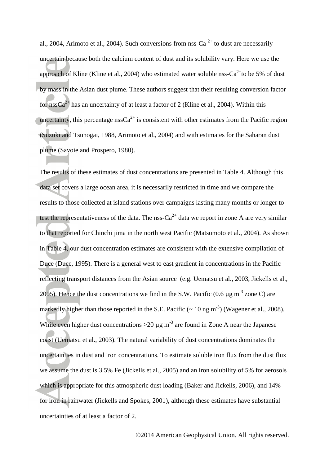al., 2004, [Arimoto et al., 2004\)](#page-28-1). Such conversions from nss-Ca<sup>2+</sup> to dust are necessarily approach of Kline ([Kline et al., 2004](#page-32-5)) who estimated water soluble nss-Ca<sup>2+</sup>to be 5% of dust uncertain because both the calcium content of dust and its solubility vary. Here we use the by mass in the Asian dust plume. These authors suggest that their resulting conversion factor for  $nssCa^{2+}$  has an uncertainty of at least a factor of 2 [\(Kline et al., 2004\)](#page-32-5). Within this uncertainty, this percentage nss $Ca^{2+}$  is consistent with other estimates from the Pacific region ([Suzuki and Tsunogai, 1988](#page-35-8), [Arimoto et al., 2004\)](#page-28-1) and with estimates for the Saharan dust plume [\(Savoie and Prospero, 1980\)](#page-35-9).

The results of these estimates of dust concentrations are presented in Table 4. Although this data set covers a large ocean area, it is necessarily restricted in time and we compare the results to those collected at island stations over campaigns lasting many months or longer to test the representativeness of the data. The nss-Ca<sup>2+</sup> data we report in zone A are very similar to that reported for Chinchi jima in the north west Pacific ([Matsumoto et al., 2004](#page-32-1)). As shown in Table 4, our dust concentration estimates are consistent with the extensive compilation of Duce [\(Duce, 1995\)](#page-30-7). There is a general west to east gradient in concentrations in the Pacific reflecting transport distances from the Asian source (e.g. [Uematsu et al., 2003,](#page-36-1) [Jickells et al.,](#page-31-0)  [2005\)](#page-31-0). Hence the dust concentrations we find in the S.W. Pacific  $(0.6 \text{ µg m}^{-3} \text{ zone C})$  are markedly higher than those reported in the S.E. Pacific  $($   $\sim$  10 ng m<sup>-3</sup> $)$  [\(Wagener et al., 2008\)](#page-36-2). While even higher dust concentrations  $>20 \mu g$  m<sup>-3</sup> are found in Zone A near the Japanese coast ([Uematsu et al., 2003](#page-36-1)). The natural variability of dust concentrations dominates the uncertainties in dust and iron concentrations. To estimate soluble iron flux from the dust flux we assume the dust is 3.5% Fe [\(Jickells et al., 2005\)](#page-31-0) and an iron solubility of 5% for aerosols which is appropriate for this atmospheric dust loading [\(Baker and Jickells, 2006\)](#page-28-4), and 14% for iron in rainwater (Jickells and Spokes, 2001), although these estimates have substantial uncertainties of at least a factor of 2.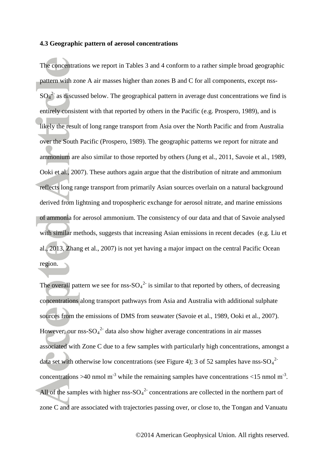#### **4.3 Geographic pattern of aerosol concentrations**

The concentrations we report in Tables 3 and 4 conform to a rather simple broad geographic pattern with zone A air masses higher than zones B and C for all components, except nss- $SO_4^2$  as discussed below. The geographical pattern in average dust concentrations we find is entirely consistent with that reported by others in the Pacific ([e.g. Prospero, 1989](#page-35-1)), and is likely the result of long range transport from Asia over the North Pacific and from Australia over the South Pacific [\(Prospero, 1989\)](#page-35-1). The geographic patterns we report for nitrate and ammonium are also similar to those reported by others [\(Jung et al., 2011,](#page-31-1) [Savoie et al., 1989,](#page-35-2) [Ooki et al., 2007\)](#page-34-2). These authors again argue that the distribution of nitrate and ammonium reflects long range transport from primarily Asian sources overlain on a natural background derived from lightning and tropospheric exchange for aerosol nitrate, and marine emissions of ammonia for aerosol ammonium. The consistency of our data and that of Savoie analysed with similar methods, suggests that increasing Asian emissions in recent decades (e.g. [Liu et](#page-32-6)  [al., 2013,](#page-32-6) [Zhang et al., 2007\)](#page-37-1) is not yet having a major impact on the central Pacific Ocean region.

The overall pattern we see for nss- $SO_4^2$  is similar to that reported by others, of decreasing sources from the emissions of DMS from seawater ([Savoie et al., 1989](#page-35-2), [Ooki et al., 2007\)](#page-34-2). concentrations along transport pathways from Asia and Australia with additional sulphate However, our nss- $SO_4^2$  data also show higher average concentrations in air masses associated with Zone C due to a few samples with particularly high concentrations, amongst a data set with otherwise low concentrations (see Figure 4); 3 of 52 samples have nss-SO<sub>4</sub><sup>2</sup> concentrations >40 nmol m<sup>-3</sup> while the remaining samples have concentrations <15 nmol m<sup>-3</sup>. All of the samples with higher nss- $SO_4^2$  concentrations are collected in the northern part of zone C and are associated with trajectories passing over, or close to, the Tongan and Vanuatu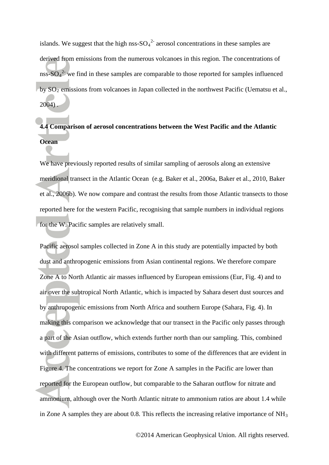islands. We suggest that the high nss- $SO_4^2$  aerosol concentrations in these samples are derived from emissions from the numerous volcanoes in this region. The concentrations of nss- $SO_4^2$  we find in these samples are comparable to those reported for samples influenced by  $SO_2$  emissions from volcanoes in Japan collected in the northwest Pacific (Uematsu et al.,  $2004)$  $2004)$ .

# **4.4 Comparison of aerosol concentrations between the West Pacific and the Atlantic Ocean**

We have previously reported results of similar sampling of aerosols along an extensive meridional transect in the Atlantic Ocean (e.g. [Baker et al., 2006a,](#page-28-2) [Baker et al., 2010,](#page-29-3) [Baker](#page-28-5)  [et al., 2006b\)](#page-28-5). We now compare and contrast the results from those Atlantic transects to those reported here for the western Pacific, recognising that sample numbers in individual regions for the W. Pacific samples are relatively small.

Pacific aerosol samples collected in Zone A in this study are potentially impacted by both dust and anthropogenic emissions from Asian continental regions. We therefore compare Zone A to North Atlantic air masses influenced by European emissions (Eur, Fig. 4) and to air over the subtropical North Atlantic, which is impacted by Sahara desert dust sources and by anthropogenic emissions from North Africa and southern Europe (Sahara, Fig. 4). In making this comparison we acknowledge that our transect in the Pacific only passes through a part of the Asian outflow, which extends further north than our sampling. This, combined with different patterns of emissions, contributes to some of the differences that are evident in Figure 4. The concentrations we report for Zone A samples in the Pacific are lower than reported for the European outflow, but comparable to the Saharan outflow for nitrate and ammonium, although over the North Atlantic nitrate to ammonium ratios are about 1.4 while in Zone A samples they are about 0.8. This reflects the increasing relative importance of  $NH<sub>3</sub>$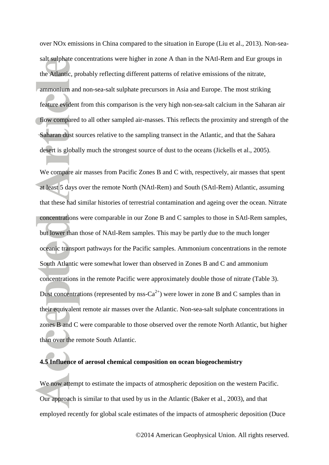over NOx emissions in China compared to the situation in Europe [\(Liu et al., 2013\)](#page-32-6). Non-seasalt sulphate concentrations were higher in zone A than in the NAtl-Rem and Eur groups in the Atlantic, probably reflecting different patterns of relative emissions of the nitrate, ammonium and non-sea-salt sulphate precursors in Asia and Europe. The most striking feature evident from this comparison is the very high non-sea-salt calcium in the Saharan air flow compared to all other sampled air-masses. This reflects the proximity and strength of the Saharan dust sources relative to the sampling transect in the Atlantic, and that the Sahara desert is globally much the strongest source of dust to the oceans [\(Jickells et al., 2005\)](#page-31-0).

We compare air masses from Pacific Zones B and C with, respectively, air masses that spent at least 5 days over the remote North (NAtl-Rem) and South (SAtl-Rem) Atlantic, assuming that these had similar histories of terrestrial contamination and ageing over the ocean. Nitrate concentrations were comparable in our Zone B and C samples to those in SAtl-Rem samples, but lower than those of NAtl-Rem samples. This may be partly due to the much longer oceanic transport pathways for the Pacific samples. Ammonium concentrations in the remote South Atlantic were somewhat lower than observed in Zones B and C and ammonium concentrations in the remote Pacific were approximately double those of nitrate (Table 3). Dust concentrations (represented by nss-Ca<sup>2+</sup>) were lower in zone B and C samples than in their equivalent remote air masses over the Atlantic. Non-sea-salt sulphate concentrations in zones B and C were comparable to those observed over the remote North Atlantic, but higher than over the remote South Atlantic.

#### **4.5 Influence of aerosol chemical composition on ocean biogeochemistry**

We now attempt to estimate the impacts of atmospheric deposition on the western Pacific. Our approach is similar to that used by us in the Atlantic [\(Baker et al., 2003\)](#page-28-0), and that employed recently for global scale estimates of the impacts of atmospheric deposition [\(Duce](#page-30-0)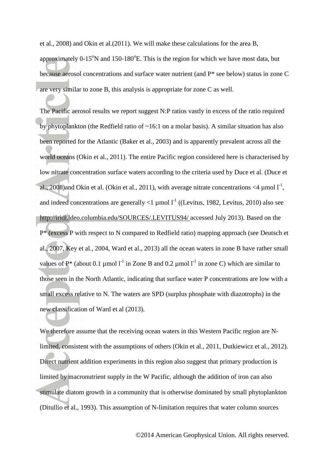et al., 2008) and Okin et al.[\(2011\)](#page-34-0). We will make these calculations for the area B, approximately  $0-15^{\circ}N$  and  $150-180^{\circ}E$ . This is the region for which we have most data, but because aerosol concentrations and surface water nutrient (and P\* see below) status in zone C are very similar to zone B, this analysis is appropriate for zone C as well.

The Pacific aerosol results we report suggest N:P ratios vastly in excess of the ratio required by phytoplankton (the Redfield ratio of ~16:1 on a molar basis). A similar situation has also been reported for the Atlantic ( [Baker et al., 2003\)](#page-28-0) and is apparently prevalent across all the world oceans [\(Okin et al., 2011\)](#page-34-0). The entire Pacific region considered here is characterised by low nitrate concentration surface waters according to the criteria used by Duce et al. [\(Duce et](#page-30-0)  [al., 2008\)](#page-30-0) and Okin et al. [\(Okin et al., 2011\)](#page-34-0), with average nitrate concentrations <4  $\mu$ mol  $I<sup>-1</sup>$ , and indeed concentrations are generally  $\langle 1 \rangle$  umol  $1^{-1}$  ([\(Levitus, 1982,](#page-32-7) [Levitus, 2010\)](#page-32-8) also see http://iridl.ldeo.columbia.edu/SOURCES/.LEVITUS94/ accessed July 2013). Based on the P\* (excess P with respect to N compared to Redfield ratio) mapping approach (see [Deutsch et](#page-30-3)  [al., 2007,](#page-30-3) [Key et al., 2004,](#page-31-7) [Ward et al., 2013\)](#page-36-0) all the ocean waters in zone B have rather small values of  $P^*$  (about 0.1 µmol  $I^{-1}$  in Zone B and 0.2 µmol  $I^{-1}$  in zone C) which are similar to new classification of Ward et al ([2013](#page-36-0)). those seen in the North Atlantic, indicating that surface water P concentrations are low with a small excess relative to N. The waters are SPD (surplus phosphate with diazotrophs) in the

We therefore assume that the receiving ocean waters in this Western Pacific region are Nlimited, consistent with the assumptions of others [\(Okin et al., 2011,](#page-34-0) [Dutkiewicz et al., 2012\)](#page-30-2). Direct nutrient addition experiments in this region also suggest that primary production is limited by macronutrient supply in the W Pacific, although the addition of iron can also stimulate diatom growth in a community that is otherwise dominated by small phytoplankton [\(Ditullio et al., 1993\)](#page-30-8). This assumption of N-limitation requires that water column sources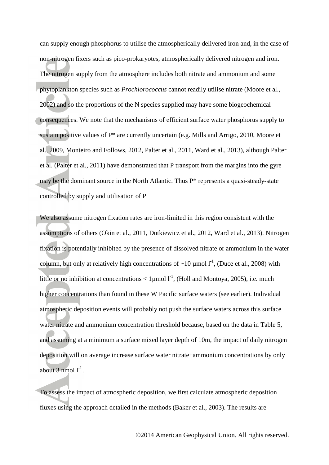can supply enough phosphorus to utilise the atmospherically delivered iron and, in the case of non-nitrogen fixers such as pico-prokaryotes, atmospherically delivered nitrogen and iron. The nitrogen supply from the atmosphere includes both nitrate and ammonium and some phytoplankton species such as *Prochlorococcus* cannot readily utilise nitrate [\(Moore et al.,](#page-34-6)  [2002\)](#page-34-6) and so the proportions of the N species supplied may have some biogeochemical consequences. We note that the mechanisms of efficient surface water phosphorus supply to sustain positive values of P\* are currently uncertain (e.g. [Mills and Arrigo, 2010,](#page-33-8) [Moore et](#page-33-5)  [al., 2009,](#page-33-5) [Monteiro and Follows, 2012,](#page-33-9) [Palter et al., 2011,](#page-34-7) [Ward et al., 2013\)](#page-36-0), although Palter et al. [\(Palter et al., 2011\)](#page-34-7) have demonstrated that P transport from the margins into the gyre may be the dominant source in the North Atlantic. Thus P\* represents a quasi-steady-state controlled by supply and utilisation of P

We also assume nitrogen fixation rates are iron-limited in this region consistent with the assumptions of others [\(Okin et al., 2011,](#page-34-0) [Dutkiewicz et al., 2012,](#page-30-2) [Ward et al., 2013\)](#page-36-0). Nitrogen fixation is potentially inhibited by the presence of dissolved nitrate or ammonium in the water column, but only at relatively high concentrations of  $\sim 10 \mu$  mol  $I^{-1}$ , [\(Duce et al., 2008\)](#page-30-0) with little or no inhibition at concentrations  $< 1$ µmol  $1^{-1}$ , [\(Holl and Montoya, 2005\)](#page-31-8), i.e. much higher concentrations than found in these W Pacific surface waters (see earlier). Individual atmospheric deposition events will probably not push the surface waters across this surface water nitrate and ammonium concentration threshold because, based on the data in Table 5, and assuming at a minimum a surface mixed layer depth of 10m, the impact of daily nitrogen deposition will on average increase surface water nitrate+ammonium concentrations by only about 3 nmol  $l^{-1}$ .

To assess the impact of atmospheric deposition, we first calculate atmospheric deposition fluxes using the approach detailed in the methods ( [Baker et al., 2003\)](#page-28-0). The results are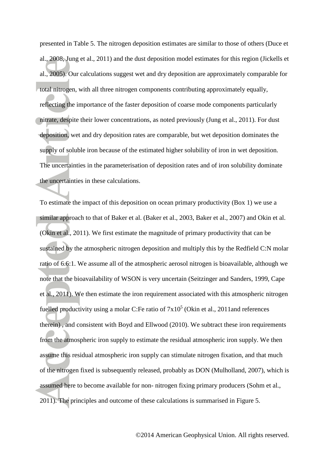presented in Table 5. The nitrogen deposition estimates are similar to those of others [\(Duce et](#page-30-0)  [al., 2008,](#page-30-0) [Jung et al., 2011\)](#page-31-1) and the dust deposition model estimates for this region [\(Jickells et](#page-31-0)  [al., 2005\)](#page-31-0). Our calculations suggest wet and dry deposition are approximately comparable for total nitrogen, with all three nitrogen components contributing approximately equally, reflecting the importance of the faster deposition of coarse mode components particularly nitrate, despite their lower concentrations, as noted previously [\(Jung et al., 2011\)](#page-31-1). For dust deposition, wet and dry deposition rates are comparable, but wet deposition dominates the supply of soluble iron because of the estimated higher solubility of iron in wet deposition. The uncertainties in the parameterisation of deposition rates and of iron solubility dominate the uncertainties in these calculations.

To estimate the impact of this deposition on ocean primary productivity (Box 1) we use a similar approach to that of Baker et al. [\(Baker et al., 2003,](#page-28-0) [Baker et al., 2007\)](#page-29-5) and Okin et al. [\(Okin et al., 2011\)](#page-34-0). We first estimate the magnitude of primary productivity that can be sustained by the atmospheric nitrogen deposition and multiply this by the Redfield C:N molar ratio of 6.6:1. We assume all of the atmospheric aerosol nitrogen is bioavailable, although we note that the bioavailability of WSON is very uncertain [\(Seitzinger and Sanders, 1999,](#page-35-10) [Cape](#page-29-1)  [et al., 2011\)](#page-29-1). We then estimate the iron requirement associated with this atmospheric nitrogen fuelled productivity using a molar C:Fe ratio of  $7x10^5$  (Okin et al., 2011and references [therein](#page-34-0) ) , and consistent with Boyd and Ellwood [\(2010\)](#page-29-8). We subtract these iron requirements from the atmospheric iron supply to estimate the residual atmospheric iron supply. We then assume this residual atmospheric iron supply can stimulate nitrogen fixation, and that much of the nitrogen fixed is subsequently released, probably as DON [\(Mulholland, 2007\)](#page-34-8), which is assumed here to become available for non- nitrogen fixing primary producers [\(Sohm et al.,](#page-35-11)  [2011\)](#page-35-11). The principles and outcome of these calculations is summarised in Figure 5.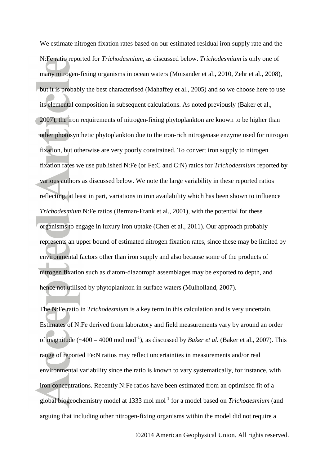We estimate nitrogen fixation rates based on our estimated residual iron supply rate and the N:Fe ratio reported for *Trichodesmium,* as discussed below. *Trichodesmium* is only one of many nitrogen-fixing organisms in ocean waters [\(Moisander et al., 2010,](#page-33-10) [Zehr et al., 2008\)](#page-36-8), but it is probably the best characterised [\(Mahaffey et al., 2005\)](#page-32-2) and so we choose here to use its elemental composition in subsequent calculations. As noted previously [\(Baker et al.,](#page-29-5)  [2007\)](#page-29-5), the iron requirements of nitrogen-fixing phytoplankton are known to be higher than other photosynthetic phytoplankton due to the iron-rich nitrogenase enzyme used for nitrogen fixation, but otherwise are very poorly constrained. To convert iron supply to nitrogen fixation rates we use published N:Fe (or Fe:C and C:N) ratios for *Trichodesmium* reported by various authors as discussed below. We note the large variability in these reported ratios reflecting, at least in part, variations in iron availability which has been shown to influence *Trichodesmium* N:Fe ratios [\(Berman-Frank et al., 2001\)](#page-29-9), with the potential for these organisms to engage in luxury iron uptake [\(Chen et al., 2011\)](#page-30-9). Our approach probably represents an upper bound of estimated nitrogen fixation rates, since these may be limited by environmental factors other than iron supply and also because some of the products of nitrogen fixation such as diatom-diazotroph assemblages may be exported to depth, and hence not utilised by phytoplankton in surface waters [\(Mulholland, 2007\)](#page-34-8).

The N:Fe ratio in *Trichodesmium* is a key term in this calculation and is very uncertain. Estimates of N:Fe derived from laboratory and field measurements vary by around an order of magnitude  $(-400 - 4000 \text{ mol mol}^{-1})$ , as discussed by *Baker et al.* [\(Baker et al., 2007\)](#page-29-5). This range of reported Fe:N ratios may reflect uncertainties in measurements and/or real environmental variability since the ratio is known to vary systematically, for instance, with iron concentrations. Recently N:Fe ratios have been estimated from an optimised fit of a global biogeochemistry model at 1333 mol mol-1 for a model based on *Trichodesmium* (and arguing that including other nitrogen-fixing organisms within the model did not require a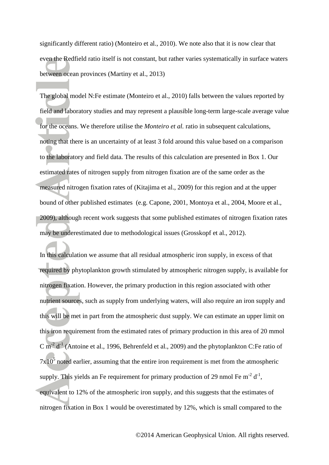significantly different ratio) [\(Monteiro et al., 2010\)](#page-33-11). We note also that it is now clear that even the Redfield ratio itself is not constant, but rather varies systematically in surface waters between ocean provinces [\(Martiny et al., 2013\)](#page-32-9)

The global model N:Fe estimate [\(Monteiro et al., 2010\)](#page-33-11) falls between the values reported by field and laboratory studies and may represent a plausible long-term large-scale average value for the oceans. We therefore utilise the *Monteiro et al.* ratio in subsequent calculations, noting that there is an uncertainty of at least 3 fold around this value based on a comparison to the laboratory and field data. The results of this calculation are presented in Box 1. Our estimated rates of nitrogen supply from nitrogen fixation are of the same order as the measured nitrogen fixation rates of [\(Kitajima et al., 2009\)](#page-31-3) for this region and at the upper bound of other published estimates (e.g. [Capone, 2001,](#page-29-10) [Montoya et al., 2004,](#page-33-12) [Moore et al.,](#page-33-5)  [2009\)](#page-33-5), although recent work suggests that some published estimates of nitrogen fixation rates may be underestimated due to methodological issues [\(Grosskopf et al., 2012\)](#page-31-9).

In this calculation we assume that all residual atmospheric iron supply, in excess of that required by phytoplankton growth stimulated by atmospheric nitrogen supply, is available for nitrogen fixation. However, the primary production in this region associated with other nutrient sources, such as supply from underlying waters, will also require an iron supply and this will be met in part from the atmospheric dust supply. We can estimate an upper limit on this iron requirement from the estimated rates of primary production in this area of 20 mmol C m<sup>-2</sup> d<sup>-1</sup> [\(Antoine et al., 1996,](#page-28-6) [Behrenfeld et al., 2009\)](#page-29-2) and the phytoplankton C:Fe ratio of  $7x10<sup>5</sup>$  noted earlier, assuming that the entire iron requirement is met from the atmospheric supply. This yields an Fe requirement for primary production of 29 nmol Fe  $m^{-2} d^{-1}$ , equivalent to 12% of the atmospheric iron supply, and this suggests that the estimates of nitrogen fixation in Box 1 would be overestimated by 12%, which is small compared to the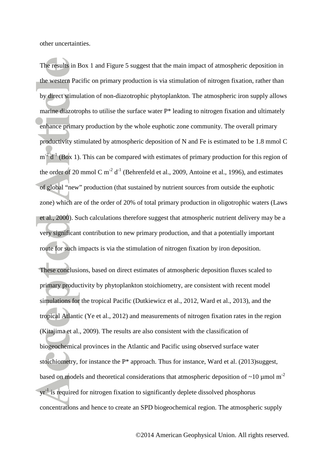other uncertainties.

The results in Box 1 and Figure 5 suggest that the main impact of atmospheric deposition in the western Pacific on primary production is via stimulation of nitrogen fixation, rather than by direct stimulation of non-diazotrophic phytoplankton. The atmospheric iron supply allows marine diazotrophs to utilise the surface water P\* leading to nitrogen fixation and ultimately enhance primary production by the whole euphotic zone community. The overall primary productivity stimulated by atmospheric deposition of N and Fe is estimated to be 1.8 mmol C  $m<sup>2</sup>d<sup>-1</sup>$  (Box 1). This can be compared with estimates of primary production for this region of the order of 20 mmol C  $m^{-2} d^{-1}$  [\(Behrenfeld et al., 2009,](#page-29-2) [Antoine et al., 1996\)](#page-28-6), and estimates of global "new" production (that sustained by nutrient sources from outside the euphotic zone) which are of the order of 20% of total primary production in oligotrophic waters [\(Laws](#page-32-10)  [et al., 2000\)](#page-32-10). Such calculations therefore suggest that atmospheric nutrient delivery may be a very significant contribution to new primary production, and that a potentially important route for such impacts is via the stimulation of nitrogen fixation by iron deposition.

These conclusions, based on direct estimates of atmospheric deposition fluxes scaled to primary productivity by phytoplankton stoichiometry, are consistent with recent model simulations for the tropical Pacific [\(Dutkiewicz et al., 2012,](#page-30-2) [Ward et al., 2013\)](#page-36-0), and the tropical Atlantic [\(Ye et al., 2012\)](#page-36-9) and measurements of nitrogen fixation rates in the region [\(Kitajima et al., 2009\)](#page-31-3). The results are also consistent with the classification of biogeochemical provinces in the Atlantic and Pacific using observed surface water stoichiometry, for instance the P\* approach. Thus for instance, Ward et al. [\(2013\)](#page-36-0)suggest, based on models and theoretical considerations that atmospheric deposition of  $\sim$ 10 µmol m<sup>-2</sup>  $yr<sup>-1</sup>$  is required for nitrogen fixation to significantly deplete dissolved phosphorus concentrations and hence to create an SPD biogeochemical region. The atmospheric supply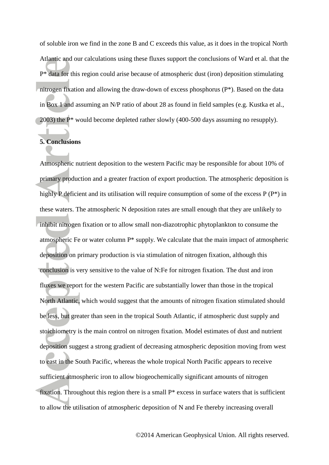of soluble iron we find in the zone B and C exceeds this value, as it does in the tropical North Atlantic and our calculations using these fluxes support the conclusions of Ward et al. that the P\* data for this region could arise because of atmospheric dust (iron) deposition stimulating nitrogen fixation and allowing the draw-down of excess phosphorus (P\*). Based on the data in Box 1 and assuming an N/P ratio of about 28 as found in field samples [\(e.g. Kustka et al.,](#page-32-11)  [2003\)](#page-32-11) the P\* would become depleted rather slowly (400-500 days assuming no resupply).

#### **5. Conclusions**

Atmospheric nutrient deposition to the western Pacific may be responsible for about 10% of primary production and a greater fraction of export production. The atmospheric deposition is highly P deficient and its utilisation will require consumption of some of the excess P (P<sup>\*</sup>) in these waters. The atmospheric N deposition rates are small enough that they are unlikely to inhibit nitrogen fixation or to allow small non-diazotrophic phytoplankton to consume the atmospheric Fe or water column P\* supply. We calculate that the main impact of atmospheric deposition on primary production is via stimulation of nitrogen fixation, although this conclusion is very sensitive to the value of N:Fe for nitrogen fixation. The dust and iron fluxes we report for the western Pacific are substantially lower than those in the tropical North Atlantic, which would suggest that the amounts of nitrogen fixation stimulated should be less, but greater than seen in the tropical South Atlantic, if atmospheric dust supply and stoichiometry is the main control on nitrogen fixation. Model estimates of dust and nutrient deposition suggest a strong gradient of decreasing atmospheric deposition moving from west to east in the South Pacific, whereas the whole tropical North Pacific appears to receive sufficient atmospheric iron to allow biogeochemically significant amounts of nitrogen fixation. Throughout this region there is a small P\* excess in surface waters that is sufficient to allow the utilisation of atmospheric deposition of N and Fe thereby increasing overall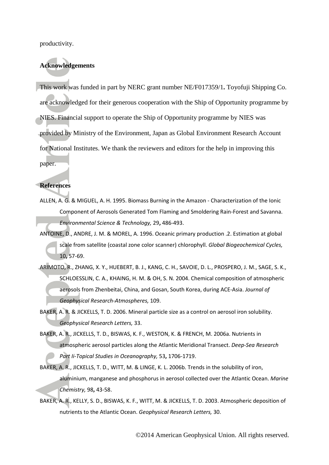productivity.

#### **Acknowledgements**

This work was funded in part by NERC grant number NE/F017359/1**.** Toyofuji Shipping Co. are acknowledged for their generous cooperation with the Ship of Opportunity programme by NIES. Financial support to operate the Ship of Opportunity programme by NIES was provided by Ministry of the Environment, Japan as Global Environment Research Account for National Institutes. We thank the reviewers and editors for the help in improving this paper.

#### **References**

- <span id="page-28-3"></span>ALLEN, A. G. & MIGUEL, A. H. 1995. Biomass Burning in the Amazon - Characterization of the Ionic Component of Aerosols Generated Tom Flaming and Smoldering Rain-Forest and Savanna. *Environmental Science & Technology,* 29**,** 486-493.
- <span id="page-28-6"></span>ANTOINE, D., ANDRE, J. M. & MOREL, A. 1996. Oceanic primary production .2. Estimation at global scale from satellite (coastal zone color scanner) chlorophyll. *Global Biogeochemical Cycles,* 10**,** 57-69.
- <span id="page-28-1"></span>ARIMOTO, R., ZHANG, X. Y., HUEBERT, B. J., KANG, C. H., SAVOIE, D. L., PROSPERO, J. M., SAGE, S. K., SCHLOESSLIN, C. A., KHAING, H. M. & OH, S. N. 2004. Chemical composition of atmospheric aerosols from Zhenbeitai, China, and Gosan, South Korea, during ACE-Asia. *Journal of Geophysical Research-Atmospheres,* 109.
- <span id="page-28-4"></span>BAKER, A. R. & JICKELLS, T. D. 2006. Mineral particle size as a control on aerosol iron solubility. *Geophysical Research Letters,* 33.
- <span id="page-28-2"></span>BAKER, A. R., JICKELLS, T. D., BISWAS, K. F., WESTON, K. & FRENCH, M. 2006a. Nutrients in atmospheric aerosol particles along the Atlantic Meridional Transect. *Deep-Sea Research Part Ii-Topical Studies in Oceanography,* 53**,** 1706-1719.
- <span id="page-28-5"></span>BAKER, A. R., JICKELLS, T. D., WITT, M. & LINGE, K. L. 2006b. Trends in the solubility of iron, aluminium, manganese and phosphorus in aerosol collected over the Atlantic Ocean. *Marine Chemistry,* 98**,** 43-58.
- <span id="page-28-0"></span>BAKER, A. R., KELLY, S. D., BISWAS, K. F., WITT, M. & JICKELLS, T. D. 2003. Atmospheric deposition of nutrients to the Atlantic Ocean. *Geophysical Research Letters,* 30.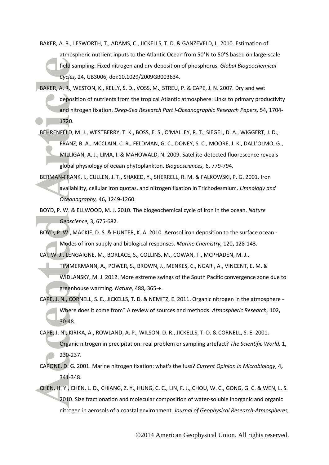- <span id="page-29-3"></span>BAKER, A. R., LESWORTH, T., ADAMS, C., JICKELLS, T. D. & GANZEVELD, L. 2010. Estimation of atmospheric nutrient inputs to the Atlantic Ocean from 50°N to 50°S based on large-scale field sampling: Fixed nitrogen and dry deposition of phosphorus. *Global Biogeochemical Cycles,* 24**,** GB3006, doi:10.1029/2009GB003634.
- <span id="page-29-5"></span>BAKER, A. R., WESTON, K., KELLY, S. D., VOSS, M., STREU, P. & CAPE, J. N. 2007. Dry and wet deposition of nutrients from the tropical Atlantic atmosphere: Links to primary productivity and nitrogen fixation. *Deep-Sea Research Part I-Oceanographic Research Papers,* 54**,** 1704- 1720.
- <span id="page-29-2"></span>BEHRENFELD, M. J., WESTBERRY, T. K., BOSS, E. S., O'MALLEY, R. T., SIEGEL, D. A., WIGGERT, J. D., FRANZ, B. A., MCCLAIN, C. R., FELDMAN, G. C., DONEY, S. C., MOORE, J. K., DALL'OLMO, G., MILLIGAN, A. J., LIMA, I. & MAHOWALD, N. 2009. Satellite-detected fluorescence reveals global physiology of ocean phytoplankton. *Biogeosciences,* 6**,** 779-794.

<span id="page-29-9"></span>BERMAN-FRANK, I., CULLEN, J. T., SHAKED, Y., SHERRELL, R. M. & FALKOWSKI, P. G. 2001. Iron availability, cellular iron quotas, and nitrogen fixation in Trichodesmium. *Limnology and Oceanography,* 46**,** 1249-1260.

<span id="page-29-8"></span>BOYD, P. W. & ELLWOOD, M. J. 2010. The biogeochemical cycle of iron in the ocean. *Nature Geoscience,* 3**,** 675-682.

<span id="page-29-0"></span>BOYD, P. W., MACKIE, D. S. & HUNTER, K. A. 2010. Aerosol iron deposition to the surface ocean - Modes of iron supply and biological responses. *Marine Chemistry,* 120**,** 128-143.

<span id="page-29-4"></span>CAI, W. J., LENGAIGNE, M., BORLACE, S., COLLINS, M., COWAN, T., MCPHADEN, M. J.,

TIMMERMANN, A., POWER, S., BROWN, J., MENKES, C., NGARI, A., VINCENT, E. M. & WIDLANSKY, M. J. 2012. More extreme swings of the South Pacific convergence zone due to

greenhouse warming. *Nature,* 488**,** 365-+.

<span id="page-29-1"></span>CAPE, J. N., CORNELL, S. E., JICKELLS, T. D. & NEMITZ, E. 2011. Organic nitrogen in the atmosphere - Where does it come from? A review of sources and methods. *Atmospheric Research,* 102**,** 30-48.

<span id="page-29-6"></span>CAPE, J. N., KIRIKA, A., ROWLAND, A. P., WILSON, D. R., JICKELLS, T. D. & CORNELL, S. E. 2001. Organic nitrogen in precipitation: real problem or sampling artefact? *The Scientific World,* 1**,**

- 230-237.
- <span id="page-29-10"></span>CAPONE, D. G. 2001. Marine nitrogen fixation: what's the fuss? *Current Opinion in Microbiology,* 4**,** 341-348.
- <span id="page-29-7"></span>CHEN, H. Y., CHEN, L. D., CHIANG, Z. Y., HUNG, C. C., LIN, F. J., CHOU, W. C., GONG, G. C. & WEN, L. S. 2010. Size fractionation and molecular composition of water-soluble inorganic and organic nitrogen in aerosols of a coastal environment. *Journal of Geophysical Research-Atmospheres,*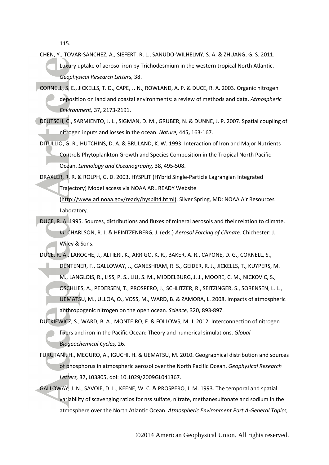115.

- <span id="page-30-9"></span>CHEN, Y., TOVAR-SANCHEZ, A., SIEFERT, R. L., SANUDO-WILHELMY, S. A. & ZHUANG, G. S. 2011. Luxury uptake of aerosol iron by Trichodesmium in the western tropical North Atlantic. *Geophysical Research Letters,* 38.
- <span id="page-30-4"></span>CORNELL, S. E., JICKELLS, T. D., CAPE, J. N., ROWLAND, A. P. & DUCE, R. A. 2003. Organic nitrogen deposition on land and coastal environments: a review of methods and data. *Atmospheric Environment,* 37**,** 2173-2191.
- <span id="page-30-3"></span>DEUTSCH, C., SARMIENTO, J. L., SIGMAN, D. M., GRUBER, N. & DUNNE, J. P. 2007. Spatial coupling of nitrogen inputs and losses in the ocean. *Nature,* 445**,** 163-167.
- <span id="page-30-8"></span>DITULLIO, G. R., HUTCHINS, D. A. & BRULAND, K. W. 1993. Interaction of Iron and Major Nutrients Controls Phytoplankton Growth and Species Composition in the Tropical North Pacific-Ocean. *Limnology and Oceanography,* 38**,** 495-508.

<span id="page-30-5"></span>DRAXLER, R. R. & ROLPH, G. D. 2003. HYSPLIT (HYbrid Single-Particle Lagrangian Integrated

Trajectory) Model access via NOAA ARL READY Website

[\(http://www.arl.noaa.gov/ready/hysplit4.html\).](http://www.arl.noaa.gov/ready/hysplit4.html)) Silver Spring, MD: NOAA Air Resources Laboratory.

<span id="page-30-7"></span>DUCE, R. A. 1995. Sources, distributions and fluxes of mineral aerosols and their relation to climate. *In:* CHARLSON, R. J. & HEINTZENBERG, J. (eds.) *Aerosol Forcing of Climate.* Chichester: J. Wiley & Sons.

<span id="page-30-0"></span>DUCE, R. A., LAROCHE, J., ALTIERI, K., ARRIGO, K. R., BAKER, A. R., CAPONE, D. G., CORNELL, S.,

- DENTENER, F., GALLOWAY, J., GANESHRAM, R. S., GEIDER, R. J., JICKELLS, T., KUYPERS, M. M., LANGLOIS, R., LISS, P. S., LIU, S. M., MIDDELBURG, J. J., MOORE, C. M., NICKOVIC, S., OSCHLIES, A., PEDERSEN, T., PROSPERO, J., SCHLITZER, R., SEITZINGER, S., SORENSEN, L. L., UEMATSU, M., ULLOA, O., VOSS, M., WARD, B. & ZAMORA, L. 2008. Impacts of atmospheric anthropogenic nitrogen on the open ocean. *Science,* 320**,** 893-897.
- <span id="page-30-2"></span>DUTKIEWICZ, S., WARD, B. A., MONTEIRO, F. & FOLLOWS, M. J. 2012. Interconnection of nitrogen fixers and iron in the Pacific Ocean: Theory and numerical simulations. *Global Biogeochemical Cycles,* 26.
- <span id="page-30-1"></span>FURUTANI, H., MEGURO, A., IGUCHI, H. & UEMATSU, M. 2010. Geographical distribution and sources of phosphorus in atmospheric aerosol over the North Pacific Ocean. *Geophysical Research Letters,* 37**,** L03805, doi: 10.1029/2009GL041367.
- <span id="page-30-6"></span>GALLOWAY, J. N., SAVOIE, D. L., KEENE, W. C. & PROSPERO, J. M. 1993. The temporal and spatial variability of scavenging ratios for nss sulfate, nitrate, methanesulfonate and sodium in the atmosphere over the North Atlantic Ocean. *Atmospheric Environment Part A-General Topics,*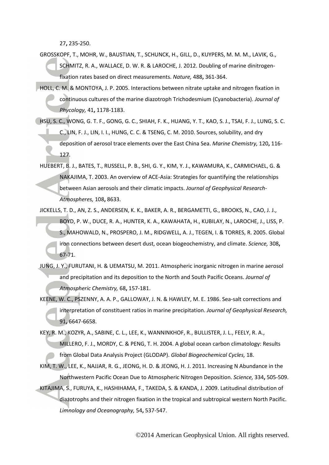27**,** 235-250.

- <span id="page-31-9"></span>GROSSKOPF, T., MOHR, W., BAUSTIAN, T., SCHUNCK, H., GILL, D., KUYPERS, M. M. M., LAVIK, G., SCHMITZ, R. A., WALLACE, D. W. R. & LAROCHE, J. 2012. Doubling of marine dinitrogenfixation rates based on direct measurements. *Nature,* 488**,** 361-364.
- <span id="page-31-8"></span>HOLL, C. M. & MONTOYA, J. P. 2005. Interactions between nitrate uptake and nitrogen fixation in continuous cultures of the marine diazotroph Trichodesmium (Cyanobacteria). *Journal of Phycology,* 41**,** 1178-1183.
- <span id="page-31-2"></span>HSU, S. C., WONG, G. T. F., GONG, G. C., SHIAH, F. K., HUANG, Y. T., KAO, S. J., TSAI, F. J., LUNG, S. C. C., LIN, F. J., LIN, I. I., HUNG, C. C. & TSENG, C. M. 2010. Sources, solubility, and dry deposition of aerosol trace elements over the East China Sea. *Marine Chemistry,* 120**,** 116- 127.
- <span id="page-31-5"></span>HUEBERT, B. J., BATES, T., RUSSELL, P. B., SHI, G. Y., KIM, Y. J., KAWAMURA, K., CARMICHAEL, G. & NAKAJIMA, T. 2003. An overview of ACE-Asia: Strategies for quantifying the relationships between Asian aerosols and their climatic impacts. *Journal of Geophysical Research-Atmospheres,* 108**,** 8633.
- <span id="page-31-0"></span>JICKELLS, T. D., AN, Z. S., ANDERSEN, K. K., BAKER, A. R., BERGAMETTI, G., BROOKS, N., CAO, J. J., BOYD, P. W., DUCE, R. A., HUNTER, K. A., KAWAHATA, H., KUBILAY, N., LAROCHE, J., LISS, P. S., MAHOWALD, N., PROSPERO, J. M., RIDGWELL, A. J., TEGEN, I. & TORRES, R. 2005. Global iron connections between desert dust, ocean biogeochemistry, and climate. *Science,* 308**,** 67-71.
- <span id="page-31-1"></span>JUNG, J. Y., FURUTANI, H. & UEMATSU, M. 2011. Atmospheric inorganic nitrogen in marine aerosol and precipitation and its deposition to the North and South Pacific Oceans. *Journal of Atmospheric Chemistry,* 68**,** 157-181.
- <span id="page-31-6"></span>KEENE, W. C., PSZENNY, A. A. P., GALLOWAY, J. N. & HAWLEY, M. E. 1986. Sea-salt corrections and interpretation of constituent ratios in marine precipitation. *Journal of Geophysical Research,* 91**,** 6647-6658.
- <span id="page-31-7"></span>KEY, R. M., KOZYR, A., SABINE, C. L., LEE, K., WANNINKHOF, R., BULLISTER, J. L., FEELY, R. A., MILLERO, F. J., MORDY, C. & PENG, T. H. 2004. A global ocean carbon climatology: Results from Global Data Analysis Project (GLODAP). *Global Biogeochemical Cycles,* 18.
- <span id="page-31-4"></span>KIM, T. W., LEE, K., NAJJAR, R. G., JEONG, H. D. & JEONG, H. J. 2011. Increasing N Abundance in the Northwestern Pacific Ocean Due to Atmospheric Nitrogen Deposition. *Science,* 334**,** 505-509.
- <span id="page-31-3"></span>KITAJIMA, S., FURUYA, K., HASHIHAMA, F., TAKEDA, S. & KANDA, J. 2009. Latitudinal distribution of diazotrophs and their nitrogen fixation in the tropical and subtropical western North Pacific. *Limnology and Oceanography,* 54**,** 537-547.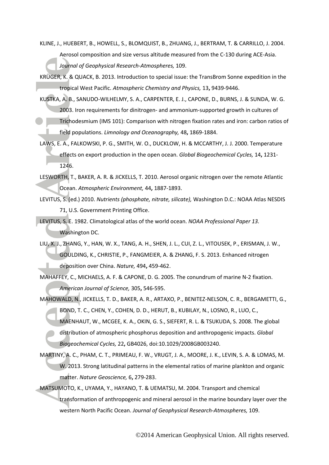<span id="page-32-5"></span>KLINE, J., HUEBERT, B., HOWELL, S., BLOMQUIST, B., ZHUANG, J., BERTRAM, T. & CARRILLO, J. 2004.

Aerosol composition and size versus altitude measured from the C-130 during ACE-Asia.

*Journal of Geophysical Research-Atmospheres,* 109.

- <span id="page-32-3"></span>KRÜGER, K. & QUACK, B. 2013. Introduction to special issue: the TransBrom Sonne expedition in the tropical West Pacific. *Atmospheric Chemistry and Physics,* 13**,** 9439-9446.
- <span id="page-32-11"></span>KUSTKA, A. B., SANUDO-WILHELMY, S. A., CARPENTER, E. J., CAPONE, D., BURNS, J. & SUNDA, W. G. 2003. Iron requirements for dinitrogen- and ammonium-supported growth in cultures of Trichodesmium (IMS 101): Comparison with nitrogen fixation rates and iron: carbon ratios of
	- field populations. *Limnology and Oceanography,* 48**,** 1869-1884.
- <span id="page-32-10"></span>LAWS, E. A., FALKOWSKI, P. G., SMITH, W. O., DUCKLOW, H. & MCCARTHY, J. J. 2000. Temperature effects on export production in the open ocean. *Global Biogeochemical Cycles,* 14**,** 1231- 1246.
- <span id="page-32-4"></span>LESWORTH, T., BAKER, A. R. & JICKELLS, T. 2010. Aerosol organic nitrogen over the remote Atlantic Ocean. *Atmospheric Environment,* 44**,** 1887-1893.
- <span id="page-32-8"></span>LEVITUS, S. (ed.) 2010. *Nutrients (phosphate, nitrate, silicate),* Washington D.C.: NOAA Atlas NESDIS 71, U.S. Government Printing Office.

<span id="page-32-7"></span>LEVITUS, S. E. 1982. Climatological atlas of the world ocean. *NOAA Professional Paper 13.* Washington DC.

- <span id="page-32-6"></span>LIU, X. J., ZHANG, Y., HAN, W. X., TANG, A. H., SHEN, J. L., CUI, Z. L., VITOUSEK, P., ERISMAN, J. W., GOULDING, K., CHRISTIE, P., FANGMEIER, A. & ZHANG, F. S. 2013. Enhanced nitrogen deposition over China. *Nature,* 494**,** 459-462.
- <span id="page-32-2"></span>MAHAFFEY, C., MICHAELS, A. F. & CAPONE, D. G. 2005. The conundrum of marine N-2 fixation. *American Journal of Science,* 305**,** 546-595.
- <span id="page-32-0"></span>MAHOWALD, N., JICKELLS, T. D., BAKER, A. R., ARTAXO, P., BENITEZ-NELSON, C. R., BERGAMETTI, G., BOND, T. C., CHEN, Y., COHEN, D. D., HERUT, B., KUBILAY, N., LOSNO, R., LUO, C., MAENHAUT, W., MCGEE, K. A., OKIN, G. S., SIEFERT, R. L. & TSUKUDA, S. 2008. The global distribution of atmospheric phosphorus deposition and anthropogenic impacts. *Global Biogeochemical Cycles,* 22**,** GB4026, doi:10.1029/2008GB003240.
- <span id="page-32-9"></span>MARTINY, A. C., PHAM, C. T., PRIMEAU, F. W., VRUGT, J. A., MOORE, J. K., LEVIN, S. A. & LOMAS, M. W. 2013. Strong latitudinal patterns in the elemental ratios of marine plankton and organic matter. *Nature Geoscience,* 6**,** 279-283.
- <span id="page-32-1"></span>MATSUMOTO, K., UYAMA, Y., HAYANO, T. & UEMATSU, M. 2004. Transport and chemical transformation of anthropogenic and mineral aerosol in the marine boundary layer over the western North Pacific Ocean. *Journal of Geophysical Research-Atmospheres,* 109.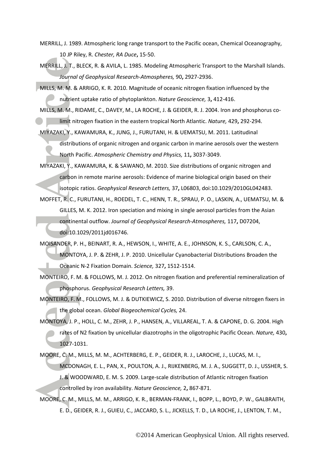- <span id="page-33-6"></span>MERRILL, J. 1989. Atmospheric long range transport to the Pacific ocean, Chemical Oceanography, 10 JP Riley, R. *Chester, RA Duce***,** 15-50.
- <span id="page-33-7"></span>MERRILL, J. T., BLECK, R. & AVILA, L. 1985. Modeling Atmospheric Transport to the Marshall Islands. *Journal of Geophysical Research-Atmospheres,* 90**,** 2927-2936.
- <span id="page-33-8"></span>MILLS, M. M. & ARRIGO, K. R. 2010. Magnitude of oceanic nitrogen fixation influenced by the nutrient uptake ratio of phytoplankton. *Nature Geoscience,* 3**,** 412-416.
- <span id="page-33-4"></span>MILLS, M. M., RIDAME, C., DAVEY, M., LA ROCHE, J. & GEIDER, R. J. 2004. Iron and phosphorus colimit nitrogen fixation in the eastern tropical North Atlantic. *Nature,* 429**,** 292-294.
- <span id="page-33-3"></span>MIYAZAKI, Y., KAWAMURA, K., JUNG, J., FURUTANI, H. & UEMATSU, M. 2011. Latitudinal distributions of organic nitrogen and organic carbon in marine aerosols over the western North Pacific. *Atmospheric Chemistry and Physics,* 11**,** 3037-3049.
- <span id="page-33-2"></span>MIYAZAKI, Y., KAWAMURA, K. & SAWANO, M. 2010. Size distributions of organic nitrogen and carbon in remote marine aerosols: Evidence of marine biological origin based on their isotopic ratios. *Geophysical Research Letters,* 37**,** L06803, doi:10.1029/2010GL042483.
- <span id="page-33-1"></span>MOFFET, R. C., FURUTANI, H., ROEDEL, T. C., HENN, T. R., SPRAU, P. O., LASKIN, A., UEMATSU, M. & GILLES, M. K. 2012. Iron speciation and mixing in single aerosol particles from the Asian continental outflow. *Journal of Geophysical Research-Atmospheres,* 117**,** D07204, doi:10.1029/2011jd016746.
- <span id="page-33-10"></span>MOISANDER, P. H., BEINART, R. A., HEWSON, I., WHITE, A. E., JOHNSON, K. S., CARLSON, C. A., MONTOYA, J. P. & ZEHR, J. P. 2010. Unicellular Cyanobacterial Distributions Broaden the Oceanic N-2 Fixation Domain. *Science,* 327**,** 1512-1514.
- <span id="page-33-9"></span>MONTEIRO, F. M. & FOLLOWS, M. J. 2012. On nitrogen fixation and preferential remineralization of phosphorus. *Geophysical Research Letters,* 39.
- <span id="page-33-11"></span>MONTEIRO, F. M., FOLLOWS, M. J. & DUTKIEWICZ, S. 2010. Distribution of diverse nitrogen fixers in the global ocean. *Global Biogeochemical Cycles,* 24.
- <span id="page-33-12"></span>MONTOYA, J. P., HOLL, C. M., ZEHR, J. P., HANSEN, A., VILLAREAL, T. A. & CAPONE, D. G. 2004. High rates of N2 fixation by unicellular diazotrophs in the oligotrophic Pacific Ocean. *Nature,* 430**,** 1027-1031.
- <span id="page-33-5"></span>MOORE, C. M., MILLS, M. M., ACHTERBERG, E. P., GEIDER, R. J., LAROCHE, J., LUCAS, M. I., MCDONAGH, E. L., PAN, X., POULTON, A. J., RIJKENBERG, M. J. A., SUGGETT, D. J., USSHER, S. J. & WOODWARD, E. M. S. 2009. Large-scale distribution of Atlantic nitrogen fixation
- <span id="page-33-0"></span>controlled by iron availability. *Nature Geoscience,* 2**,** 867-871. MOORE, C. M., MILLS, M. M., ARRIGO, K. R., BERMAN-FRANK, I., BOPP, L., BOYD, P. W., GALBRAITH, E. D., GEIDER, R. J., GUIEU, C., JACCARD, S. L., JICKELLS, T. D., LA ROCHE, J., LENTON, T. M.,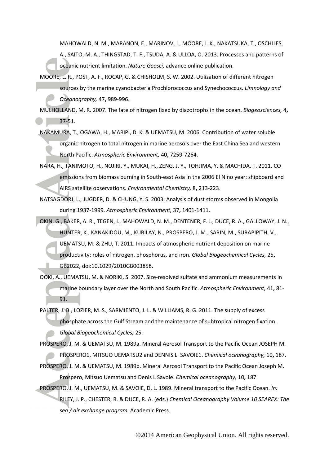MAHOWALD, N. M., MARANON, E., MARINOV, I., MOORE, J. K., NAKATSUKA, T., OSCHLIES, A., SAITO, M. A., THINGSTAD, T. F., TSUDA, A. & ULLOA, O. 2013. Processes and patterns of oceanic nutrient limitation. *Nature Geosci,* advance online publication.

<span id="page-34-6"></span>MOORE, L. R., POST, A. F., ROCAP, G. & CHISHOLM, S. W. 2002. Utilization of different nitrogen sources by the marine cyanobacteria Prochlorococcus and Synechococcus. *Limnology and Oceanography,* 47**,** 989-996.

<span id="page-34-8"></span>MULHOLLAND, M. R. 2007. The fate of nitrogen fixed by diazotrophs in the ocean. *Biogeosciences,* 4**,** 37-51.

- <span id="page-34-1"></span>NAKAMURA, T., OGAWA, H., MARIPI, D. K. & UEMATSU, M. 2006. Contribution of water soluble organic nitrogen to total nitrogen in marine aerosols over the East China Sea and western North Pacific. *Atmospheric Environment,* 40**,** 7259-7264.
- <span id="page-34-5"></span>NARA, H., TANIMOTO, H., NOJIRI, Y., MUKAI, H., ZENG, J. Y., TOHJIMA, Y. & MACHIDA, T. 2011. CO emissions from biomass burning in South-east Asia in the 2006 El Nino year: shipboard and AIRS satellite observations. *Environmental Chemistry,* 8**,** 213-223.
- <span id="page-34-3"></span>NATSAGDORJ, L., JUGDER, D. & CHUNG, Y. S. 2003. Analysis of dust storms observed in Mongolia during 1937-1999. *Atmospheric Environment,* 37**,** 1401-1411.
- <span id="page-34-0"></span>OKIN, G., BAKER, A. R., TEGEN, I., MAHOWALD, N. M., DENTENER, F. J., DUCE, R. A., GALLOWAY, J. N., HUNTER, K., KANAKIDOU, M., KUBILAY, N., PROSPERO, J. M., SARIN, M., SURAPIPITH, V., UEMATSU, M. & ZHU, T. 2011. Impacts of atmospheric nutrient deposition on marine productivity: roles of nitrogen, phosphorus, and iron. *Global Biogeochemical Cycles,* 25**,** GB2022, doi:10.1029/2010GB003858.
- <span id="page-34-2"></span>OOKI, A., UEMATSU, M. & NORIKI, S. 2007. Size-resolved sulfate and ammonium measurements in marine boundary layer over the North and South Pacific. *Atmospheric Environment,* 41**,** 81- 91.

<span id="page-34-7"></span>PALTER, J. B., LOZIER, M. S., SARMIENTO, J. L. & WILLIAMS, R. G. 2011. The supply of excess phosphate across the Gulf Stream and the maintenance of subtropical nitrogen fixation. *Global Biogeochemical Cycles,* 25.

<span id="page-34-9"></span>PROSPERO, J. M. & UEMATSU, M. 1989a. Mineral Aerosol Transport to the Pacific Ocean JOSEPH M.

<span id="page-34-4"></span>PROSPERO1, MITSUO UEMATSU2 and DENNIS L. SAVOIE1. *Chemical oceanography,* 10**,** 187. PROSPERO, J. M. & UEMATSU, M. 1989b. Mineral Aerosol Transport to the Pacific Ocean Joseph M.

Prospero, Mitsuo Uematsu and Denis L Savoie. *Chemical oceanography,* 10**,** 187.

<span id="page-34-10"></span>PROSPERO, J. M., UEMATSU, M. & SAVOIE, D. L. 1989. Mineral transport to the Pacific Ocean. *In:* RILEY, J. P., CHESTER, R. & DUCE, R. A. (eds.) *Chemical Oceanography Volume 10 SEAREX: The sea / air exchange program.* Academic Press.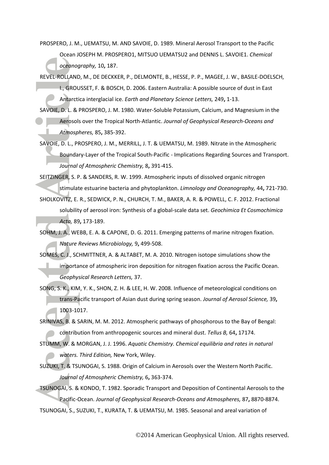<span id="page-35-1"></span>PROSPERO, J. M., UEMATSU, M. AND SAVOIE, D. 1989. Mineral Aerosol Transport to the Pacific Ocean JOSEPH M. PROSPERO1, MITSUO UEMATSU2 and DENNIS L. SAVOIE1. *Chemical oceanography,* 10**,** 187.

<span id="page-35-5"></span>REVEL-ROLLAND, M., DE DECKKER, P., DELMONTE, B., HESSE, P. P., MAGEE, J. W., BASILE-DOELSCH,

I., GROUSSET, F. & BOSCH, D. 2006. Eastern Australia: A possible source of dust in East Antarctica interglacial ice. *Earth and Planetary Science Letters,* 249**,** 1-13.

<span id="page-35-9"></span>SAVOIE, D. L. & PROSPERO, J. M. 1980. Water-Soluble Potassium, Calcium, and Magnesium in the Aerosols over the Tropical North-Atlantic. *Journal of Geophysical Research-Oceans and Atmospheres,* 85**,** 385-392.

<span id="page-35-2"></span>SAVOIE, D. L., PROSPERO, J. M., MERRILL, J. T. & UEMATSU, M. 1989. Nitrate in the Atmospheric Boundary-Layer of the Tropical South-Pacific - Implications Regarding Sources and Transport. *Journal of Atmospheric Chemistry,* 8**,** 391-415.

<span id="page-35-10"></span>SEITZINGER, S. P. & SANDERS, R. W. 1999. Atmospheric inputs of dissolved organic nitrogen stimulate estuarine bacteria and phytoplankton. *Limnology and Oceanography,* 44**,** 721-730. SHOLKOVITZ, E. R., SEDWICK, P. N., CHURCH, T. M., BAKER, A. R. & POWELL, C. F. 2012. Fractional

<span id="page-35-0"></span>solubility of aerosol iron: Synthesis of a global-scale data set. *Geochimica Et Cosmochimica Acta,* 89**,** 173-189.

<span id="page-35-11"></span>SOHM, J. A., WEBB, E. A. & CAPONE, D. G. 2011. Emerging patterns of marine nitrogen fixation. *Nature Reviews Microbiology,* 9**,** 499-508.

<span id="page-35-3"></span>SOMES, C. J., SCHMITTNER, A. & ALTABET, M. A. 2010. Nitrogen isotope simulations show the importance of atmospheric iron deposition for nitrogen fixation across the Pacific Ocean. *Geophysical Research Letters,* 37.

<span id="page-35-4"></span>SONG, S. K., KIM, Y. K., SHON, Z. H. & LEE, H. W. 2008. Influence of meteorological conditions on trans-Pacific transport of Asian dust during spring season. *Journal of Aerosol Science,* 39**,** 1003-1017.

<span id="page-35-7"></span>SRINIVAS, B. & SARIN, M. M. 2012. Atmospheric pathways of phosphorous to the Bay of Bengal: contribution from anthropogenic sources and mineral dust. *Tellus B,* 64**,** 17174.

<span id="page-35-6"></span>STUMM, W. & MORGAN, J. J. 1996. *Aquatic Chemistry. Chemical equilibria and rates in natural waters. Third Edition,* New York, Wiley.

<span id="page-35-8"></span>SUZUKI, T. & TSUNOGAI, S. 1988. Origin of Calcium in Aerosols over the Western North Pacific. *Journal of Atmospheric Chemistry,* 6**,** 363-374.

<span id="page-35-13"></span><span id="page-35-12"></span>TSUNOGAI, S. & KONDO, T. 1982. Sporadic Transport and Deposition of Continental Aerosols to the Pacific-Ocean. *Journal of Geophysical Research-Oceans and Atmospheres,* 87**,** 8870-8874. TSUNOGAI, S., SUZUKI, T., KURATA, T. & UEMATSU, M. 1985. Seasonal and areal variation of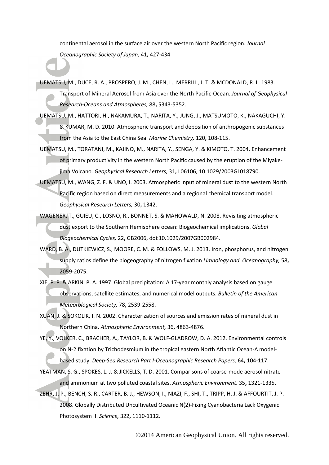continental aerosol in the surface air over the western North Pacific region. *Journal Oceanographic Society of Japan,* 41**,** 427-434

<span id="page-36-10"></span>UEMATSU, M., DUCE, R. A., PROSPERO, J. M., CHEN, L., MERRILL, J. T. & MCDONALD, R. L. 1983.

Transport of Mineral Aerosol from Asia over the North Pacific-Ocean. *Journal of Geophysical Research-Oceans and Atmospheres,* 88**,** 5343-5352.

- <span id="page-36-3"></span>UEMATSU, M., HATTORI, H., NAKAMURA, T., NARITA, Y., JUNG, J., MATSUMOTO, K., NAKAGUCHI, Y. & KUMAR, M. D. 2010. Atmospheric transport and deposition of anthropogenic substances from the Asia to the East China Sea. *Marine Chemistry,* 120**,** 108-115.
- <span id="page-36-7"></span>UEMATSU, M., TORATANI, M., KAJINO, M., NARITA, Y., SENGA, Y. & KIMOTO, T. 2004. Enhancement of primary productivity in the western North Pacific caused by the eruption of the Miyakejima Volcano. *Geophysical Research Letters,* 31**,** L06106, 10.1029/2003GL018790.
- <span id="page-36-1"></span>UEMATSU, M., WANG, Z. F. & UNO, I. 2003. Atmospheric input of mineral dust to the western North Pacific region based on direct measurements and a regional chemical transport model. *Geophysical Research Letters,* 30**,** 1342.
- <span id="page-36-2"></span>WAGENER, T., GUIEU, C., LOSNO, R., BONNET, S. & MAHOWALD, N. 2008. Revisiting atmospheric dust export to the Southern Hemisphere ocean: Biogeochemical implications. *Global Biogeochemical Cycles,* 22**,** GB2006, doi:10.1029/2007GB002984.
- <span id="page-36-0"></span>WARD, B. A., DUTKIEWICZ, S., MOORE, C. M. & FOLLOWS, M. J. 2013. Iron, phosphorus, and nitrogen supply ratios define the biogeography of nitrogen fixation *Limnology and Oceanography,* 58**,** 2059-2075.
- <span id="page-36-6"></span>XIE, P. P. & ARKIN, P. A. 1997. Global precipitation: A 17-year monthly analysis based on gauge observations, satellite estimates, and numerical model outputs. *Bulletin of the American Meteorological Society,* 78**,** 2539-2558.
- <span id="page-36-4"></span>XUAN, J. & SOKOLIK, I. N. 2002. Characterization of sources and emission rates of mineral dust in Northern China. *Atmospheric Environment,* 36**,** 4863-4876.
- <span id="page-36-9"></span>YE, Y., VOLKER, C., BRACHER, A., TAYLOR, B. & WOLF-GLADROW, D. A. 2012. Environmental controls on N-2 fixation by Trichodesmium in the tropical eastern North Atlantic Ocean-A modelbased study. *Deep-Sea Research Part I-Oceanographic Research Papers,* 64**,** 104-117.
- <span id="page-36-5"></span>YEATMAN, S. G., SPOKES, L. J. & JICKELLS, T. D. 2001. Comparisons of coarse-mode aerosol nitrate and ammonium at two polluted coastal sites. *Atmospheric Environment,* 35**,** 1321-1335.
- <span id="page-36-8"></span>ZEHR, J. P., BENCH, S. R., CARTER, B. J., HEWSON, I., NIAZI, F., SHI, T., TRIPP, H. J. & AFFOURTIT, J. P. 2008. Globally Distributed Uncultivated Oceanic N(2)-Fixing Cyanobacteria Lack Oxygenic Photosystem II. *Science,* 322**,** 1110-1112.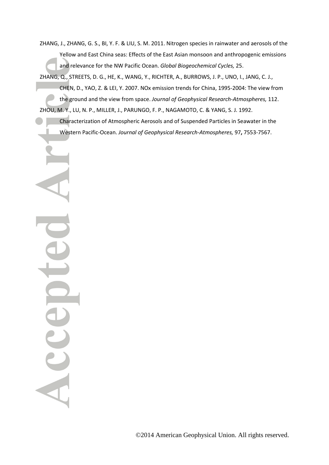<span id="page-37-0"></span>ZHANG, J., ZHANG, G. S., BI, Y. F. & LIU, S. M. 2011. Nitrogen species in rainwater and aerosols of the Yellow and East China seas: Effects of the East Asian monsoon and anthropogenic emissions and relevance for the NW Pacific Ocean. *Global Biogeochemical Cycles,* 25.

<span id="page-37-1"></span>ZHANG, Q., STREETS, D. G., HE, K., WANG, Y., RICHTER, A., BURROWS, J. P., UNO, I., JANG, C. J., CHEN, D., YAO, Z. & LEI, Y. 2007. NOx emission trends for China, 1995-2004: The view from the ground and the view from space. *Journal of Geophysical Research-Atmospheres,* 112. ZHOU, M. Y., LU, N. P., MILLER, J., PARUNGO, F. P., NAGAMOTO, C. & YANG, S. J. 1992.

Characterization of Atmospheric Aerosols and of Suspended Particles in Seawater in the Western Pacific-Ocean. *Journal of Geophysical Research-Atmospheres,* 97**,** 7553-7567.

<span id="page-37-2"></span>Acce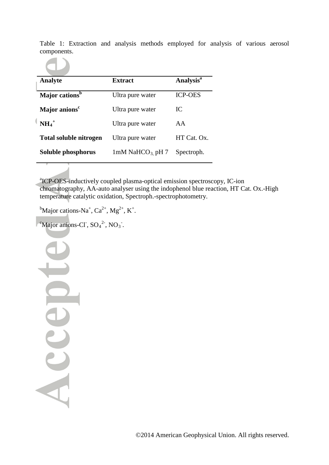Table 1: Extraction and analysis methods employed for analysis of various aerosol components.



| <b>Analyte</b>                | <b>Extract</b>                | Analysis <sup>a</sup> |
|-------------------------------|-------------------------------|-----------------------|
| Major cations <sup>b</sup>    | Ultra pure water              | <b>ICP-OES</b>        |
| Major anions <sup>c</sup>     | Ultra pure water              | IC                    |
| $NH_4^+$                      | Ultra pure water              | AA                    |
| <b>Total soluble nitrogen</b> | Ultra pure water              | HT Cat. Ox.           |
| Soluble phosphorus            | 1mM NaHCO <sub>3</sub> pH $7$ | Spectroph.            |

<sup>a</sup>ICP-OES-inductively coupled plasma-optical emission spectroscopy, IC-ion chromatography, AA-auto analyser using the indophenol blue reaction, HT Cat. Ox.-High temperature catalytic oxidation, Spectroph.-spectrophotometry.

<sup>b</sup>Major cations-Na<sup>+</sup>, Ca<sup>2+</sup>, Mg<sup>2+</sup>, K<sup>+</sup>.

<sup>e</sup>Major anions-Cl<sup>-</sup>,  $SO_4^2$ <sup>2-</sup>, NO<sub>3</sub><sup>-</sup>.

Accep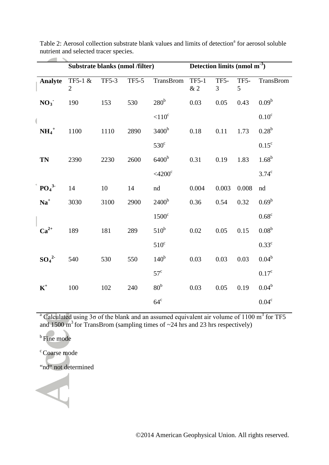|                              | Substrate blanks (nmol /filter) |              |              |                       | Detection limits (nmol $m-3$ ) |                        |           |                   |
|------------------------------|---------------------------------|--------------|--------------|-----------------------|--------------------------------|------------------------|-----------|-------------------|
| Analyte                      | TF5-1 &<br>$\overline{2}$       | <b>TF5-3</b> | <b>TF5-5</b> | TransBrom             | <b>TF5-1</b><br>$\&$ 2         | TF5-<br>$\mathfrak{Z}$ | TF5-<br>5 | TransBrom         |
| NO <sub>3</sub>              | 190                             | 153          | 530          | 280 <sup>b</sup>      | 0.03                           | 0.05                   | 0.43      | 0.09 <sup>b</sup> |
|                              |                                 |              |              | $< 110$ <sup>c</sup>  |                                |                        |           | $0.10^{\circ}$    |
| $NH_4^+$                     | 1100                            | 1110         | 2890         | 3400 <sup>b</sup>     | $0.18\,$                       | 0.11                   | 1.73      | $0.28^{b}$        |
|                              |                                 |              |              | $530^\circ$           |                                |                        |           | $0.15^{\circ}$    |
| <b>TN</b>                    | 2390                            | 2230         | 2600         | 6400 <sup>b</sup>     | 0.31                           | 0.19                   | 1.83      | $1.68^{b}$        |
|                              |                                 |              |              | $<$ 4200 $\mathrm{c}$ |                                |                        |           | $3.74^{\circ}$    |
| PO <sub>4</sub> <sup>3</sup> | 14                              | 10           | 14           | nd                    | 0.004                          | 0.003                  | 0.008     | nd                |
| $\mathbf{Na}^+$              | 3030                            | 3100         | 2900         | 2400 <sup>b</sup>     | 0.36                           | 0.54                   | 0.32      | $0.69^b$          |
|                              |                                 |              |              | $1500^{\circ}$        |                                |                        |           | $0.68^c$          |
| $Ca^{2+}$                    | 189                             | 181          | 289          | $510^b$               | $0.02\,$                       | 0.05                   | 0.15      | 0.08 <sup>b</sup> |
|                              |                                 |              |              | $510^{\circ}$         |                                |                        |           | $0.33^c$          |
| $SO_4^2$                     | 540                             | 530          | 550          | 140 <sup>b</sup>      | 0.03                           | 0.03                   | 0.03      | $0.04^{b}$        |
|                              |                                 |              |              | $57^{\circ}$          |                                |                        |           | 0.17 <sup>c</sup> |
| $K^+$                        | 100                             | 102          | 240          | 80 <sup>b</sup>       | 0.03                           | 0.05                   | 0.19      | $0.04^b$          |
|                              |                                 |              |              | $64^{\circ}$          |                                |                        |           | $0.04^c$          |

Table 2: Aerosol collection substrate blank values and limits of detection<sup>a</sup> for aerosol soluble nutrient and selected tracer species.

<sup>a</sup> Calculated using 3 $\sigma$  of the blank and an assumed equivalent air volume of 1100 m<sup>3</sup> for TF5 and 1500 m<sup>3</sup> for TransBrom (sampling times of  $\sim$ 24 hrs and 23 hrs respectively)

**b** Fine mode

<sup>c</sup> Coarse mode

"nd" not determined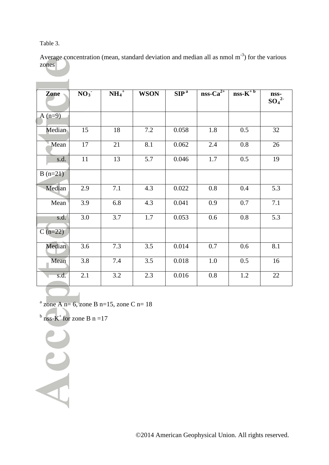Table 3.

<u> The Common State of the Common Sta</u>

Average concentration (mean, standard deviation and median all as nmol  $m^{-3}$ ) for the various zones

| Zone      | NO <sub>3</sub> | $NH_4^+$ | <b>WSON</b> | $\overline{\text{SIP}^{\text{a}}}$ | $nss-Ca^{2+}$ | $nss-\overline{K^{+b}}$ | nss-<br>$SO_4^2$ |
|-----------|-----------------|----------|-------------|------------------------------------|---------------|-------------------------|------------------|
| $A(n=9)$  |                 |          |             |                                    |               |                         |                  |
| Median    | 15              | 18       | 7.2         | 0.058                              | 1.8           | 0.5                     | 32               |
| Mean      | 17              | 21       | 8.1         | 0.062                              | 2.4           | 0.8                     | 26               |
| s.d.      | 11              | 13       | 5.7         | 0.046                              | 1.7           | 0.5                     | 19               |
| $B(n=21)$ |                 |          |             |                                    |               |                         |                  |
| Median    | 2.9             | 7.1      | 4.3         | 0.022                              | 0.8           | 0.4                     | 5.3              |
| Mean      | 3.9             | 6.8      | 4.3         | 0.041                              | 0.9           | 0.7                     | 7.1              |
| s.d.      | 3.0             | 3.7      | 1.7         | 0.053                              | 0.6           | 0.8                     | 5.3              |
| $C(n=22)$ |                 |          |             |                                    |               |                         |                  |
| Median    | 3.6             | 7.3      | 3.5         | 0.014                              | 0.7           | 0.6                     | 8.1              |
| Mean      | 3.8             | 7.4      | 3.5         | 0.018                              | $1.0\,$       | 0.5                     | 16               |
| s.d.      | 2.1             | 3.2      | 2.3         | 0.016                              | 0.8           | 1.2                     | 22               |
|           |                 |          |             |                                    |               |                         |                  |

 $a$  zone A n= 6, zone B n=15, zone C n= 18

 $<sup>b</sup>$  nss-K<sup>+</sup> for zone B n =17</sup>

Acc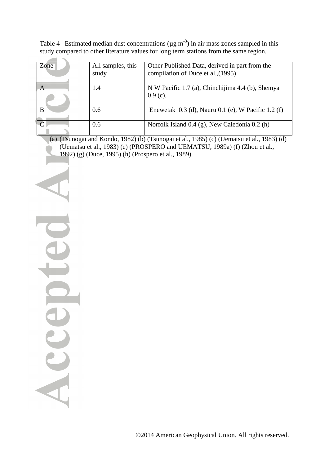| Table 4 Estimated median dust concentrations ( $\mu$ g m <sup>-3</sup> ) in air mass zones sampled in this |  |
|------------------------------------------------------------------------------------------------------------|--|
| study compared to other literature values for long term stations from the same region.                     |  |

| Zone         | All samples, this | Other Published Data, derived in part from the         |
|--------------|-------------------|--------------------------------------------------------|
|              | study             | compilation of Duce et al., (1995)                     |
|              |                   |                                                        |
| $\mathsf{A}$ | 1.4               | N W Pacific 1.7 (a), Chinchijima 4.4 (b), Shemya       |
|              |                   | $0.9(c)$ ,                                             |
| B            | 0.6               | Enewetak $0.3$ (d), Nauru $0.1$ (e), W Pacific 1.2 (f) |
|              | 0.6               | Norfolk Island 0.4 (g), New Caledonia 0.2 (h)          |
|              |                   |                                                        |

(a) [\(Tsunogai and Kondo, 1982\)](#page-35-12) (b) [\(Tsunogai et al., 1985\)](#page-35-13) (c) [\(Uematsu et al., 1983\)](#page-36-10) (d) [\(Uematsu et al., 1983\)](#page-36-10) (e) [\(PROSPERO and UEMATSU, 1989a\)](#page-34-9) (f) [\(Zhou et al.,](#page-37-2)  [1992\)](#page-37-2) (g) [\(Duce, 1995\)](#page-30-7) (h) [\(Prospero et al., 1989\)](#page-34-10)

Accep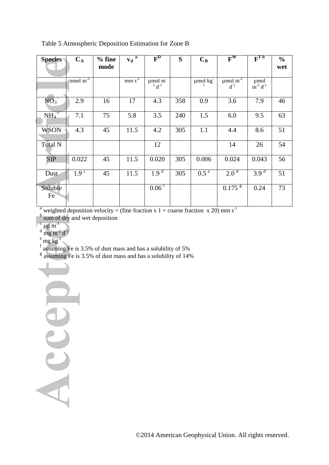| Table 5 Atmospheric Deposition Estimation for Zone B |  |  |  |
|------------------------------------------------------|--|--|--|
|------------------------------------------------------|--|--|--|

| <b>Species</b>      | $C_A$                    | $%$ fine<br>mode | $v_d$ <sup>a</sup> | $\mathbf{F}^{\mathbf{D}}$        | S   | $C_R$            | $\mathbf{F}^{\mathbf{W}}$              | $F_{LP}$                   | $\frac{0}{0}$<br>wet |
|---------------------|--------------------------|------------------|--------------------|----------------------------------|-----|------------------|----------------------------------------|----------------------------|----------------------|
|                     | nmol $\overline{m^{-3}}$ |                  | $mm s^{-1}$        | µmol m<br>$^{2}$ d <sup>-1</sup> |     | µmol kg          | $\mu$ mol $\overline{m^2}$<br>$d^{-1}$ | umol<br>$\sin^{-2} d^{-1}$ |                      |
| NO <sub>3</sub>     | 2.9                      | 16               | 17                 | 4.3                              | 358 | 0.9              | 3.6                                    | 7.9                        | 46                   |
| $NH_4$ <sup>+</sup> | 7.1                      | 75               | 5.8                | 3.5                              | 240 | 1.5              | 6.0                                    | 9.5                        | 63                   |
| <b>WSON</b>         | 4.3                      | 45               | 11.5               | 4.2                              | 305 | 1.1              | 4.4                                    | 8.6                        | 51                   |
| Total N             |                          |                  |                    | 12                               |     |                  | 14                                     | 26                         | 54                   |
| <b>SIP</b>          | 0.022                    | 45               | 11.5               | 0.020                            | 305 | 0.006            | 0.024                                  | 0.043                      | 56                   |
| Dust                | 1.9 <sup>c</sup>         | 45               | 11.5               | $1.9^{\overline{d}}$             | 305 | 0.5 <sup>e</sup> | 2.0 <sup>d</sup>                       | $3.9^{d}$                  | 51                   |
| Soluble<br>Fe       |                          |                  |                    | $0.06$ <sup>f</sup>              |     |                  | $0.175$ <sup>g</sup>                   | 0.24                       | 73                   |

<sup>a</sup> weighted deposition velocity = (fine fraction x 1 + coarse fraction x 20) mm s<sup>-1</sup>

<sup>b</sup> sum of dry and wet deposition

- 
- $\frac{c}{d} \mu g \, m^{-3}$ <br>d mg m<sup>-2</sup> d<sup>-1</sup>

Accep

 $e$  mg  $kg^{-1}$ 

 $f$  assuming Fe is 3.5% of dust mass and has a solubility of 5%

 $\frac{g}{g}$  assuming Fe is 3.5% of dust mass and has a solubility of 14%

©2014 American Geophysical Union. All rights reserved.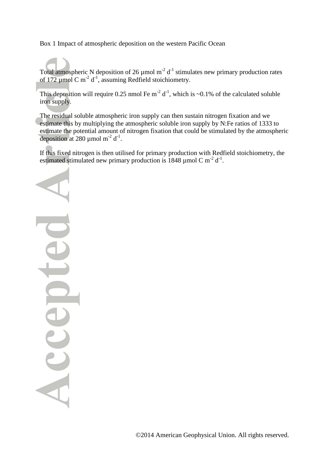Box 1 Impact of atmospheric deposition on the western Pacific Ocean

Total atmospheric N deposition of 26  $\mu$ mol m<sup>-2</sup> d<sup>-1</sup> stimulates new primary production rates of 172  $\mu$ mol C m<sup>-2</sup> d<sup>-1</sup>, assuming Redfield stoichiometry.

This deposition will require 0.25 nmol Fe m<sup>-2</sup> d<sup>-1</sup>, which is ~0.1% of the calculated soluble iron supply.

The residual soluble atmospheric iron supply can then sustain nitrogen fixation and we estimate this by multiplying the atmospheric soluble iron supply by N:Fe ratios of 1333 to estimate the potential amount of nitrogen fixation that could be stimulated by the atmospheric deposition at 280 µmol  $m^{-2} d^{-1}$ .

If this fixed nitrogen is then utilised for primary production with Redfield stoichiometry, the estimated stimulated new primary production is 1848  $\mu$  mol C m<sup>-2</sup> d<sup>-1</sup>.

Ue ICCCED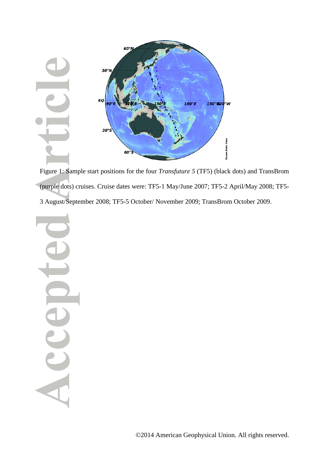

Figure 1: Sample start positions for the four *Transfuture 5* (TF5) (black dots) and TransBrom (purple dots) cruises. Cruise dates were: TF5-1 May/June 2007; TF5-2 April/May 2008; TF5- 3 August/September 2008; TF5-5 October/ November 2009; TransBrom October 2009.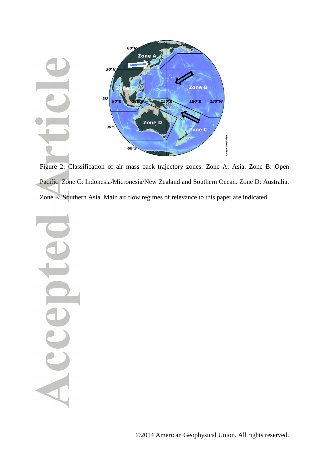

Figure 2: Classification of air mass back trajectory zones. Zone A: Asia. Zone B: Open Pacific. Zone C: Indonesia/Micronesia/New Zealand and Southern Ocean. Zone D: Australia. Zone E: Southern Asia. Main air flow regimes of relevance to this paper are indicated.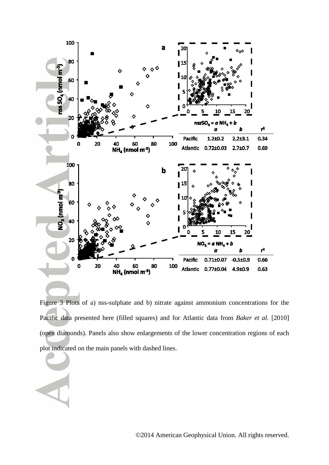

Figure 3 Plots of a) nss-sulphate and b) nitrate against ammonium concentrations for the Pacific data presented here (filled squares) and for Atlantic data from *Baker et al.* [2010] (open diamonds). Panels also show enlargements of the lower concentration regions of each plot indicated on the main panels with dashed lines.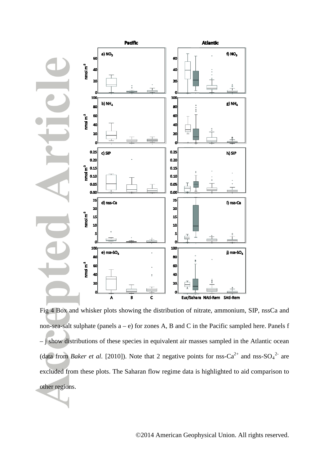

Fig 4 Box and whisker plots showing the distribution of nitrate, ammonium, SIP, nssCa and non-sea-salt sulphate (panels a – e) for zones A, B and C in the Pacific sampled here. Panels f – j show distributions of these species in equivalent air masses sampled in the Atlantic ocean (data from *Baker et al.* [2010]). Note that 2 negative points for nss-Ca<sup>2+</sup> and nss-SO<sub>4</sub><sup>2-</sup> are excluded from these plots. The Saharan flow regime data is highlighted to aid comparison to other regions.